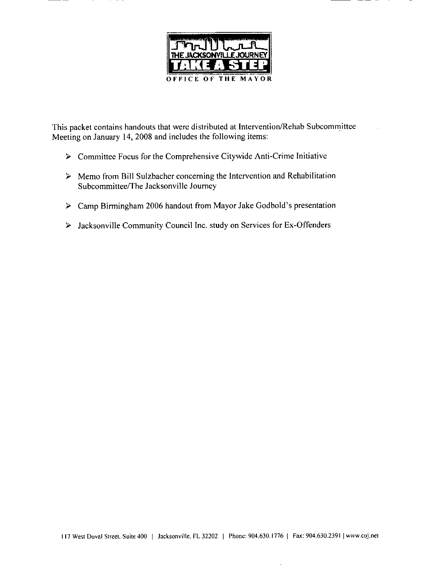

This packet contains handouts that were distributed at Intervention/Rehab Subcommittee Meeting on January 14, 2008 and includes the following items:

 $\triangleright$  Committee Focus for the Comprehensive Citywide Anti-Crime Initiative

——

- $\triangleright$  Memo from Bill Sulzbacher concerning the Intervention and Rehabilitation Subcommittee/The Jacksonville Journey
- > Camp Birmingham 2006 handout from Mayor Jake Godbold's presentation
- > Jacksonville Community Council Inc. study on Services for Ex-Offenders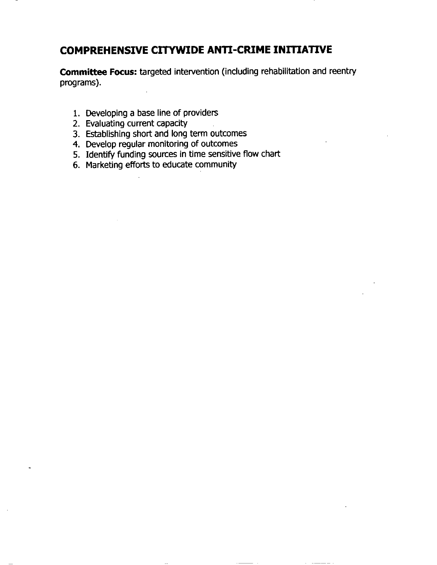### **COMPREHENSIVE CITYWIDE ANTI-CRIME INITIATIVE**

Committee Focus: targeted intervention (including rehabilitation and reentry programs).

- 1. Developing a base line of providers
- 2. Evaluating current capacity
- 3. Establishing short and long term outcomes
- 4. Develop regular monitoring of outcomes
- 5. Identify funding sources in time sensitive flow chart
- 6. Marketing efforts to educate community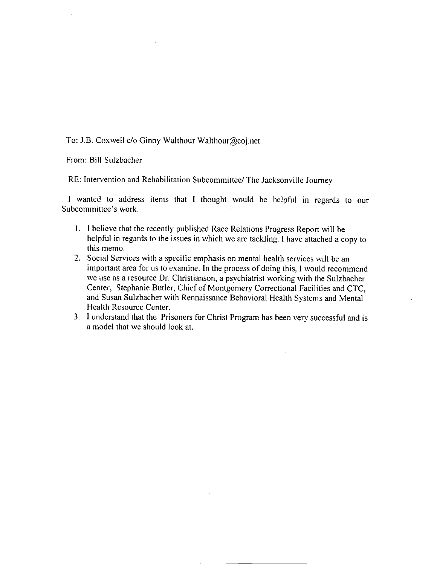To: J.B. Coxwell c/o Ginny Walthour Walthour@coj.net

From: Bill Sulzbacher

RE: Intervention and Rehabilitation Subcommittee/ The Jacksonville Journey

I wanted to address items that I thought would be helpful in regards to our Subcommittee's work.

- 1. I believe that the recently published Race Relations Progress Report will be helpful in regards to the issues in which we are tackling. I have attached a copy to this memo.
- 2. Social Services with a specific emphasis on mental health services will be an important area for us to examine. In the process of doing this, I would recommend we use as a resource Dr. Christianson, a psychiatrist working with the Sulzbacher Center, Stephanie Butler, Chief of Montgomery Correctional Facilities and CTC, and Susan Sulzbacher with Rennaissance Behavioral Health Systems and Mental Health Resource Center.
- 3. I understand that the Prisoners for Christ Program has been very successful and is a model that we should look at.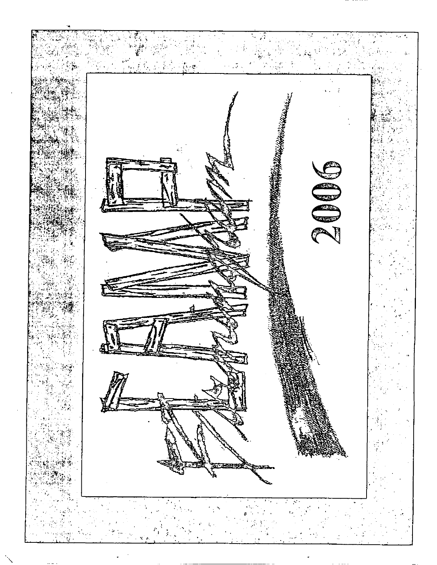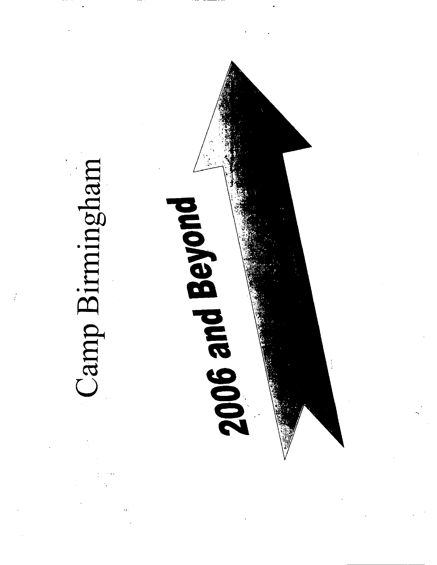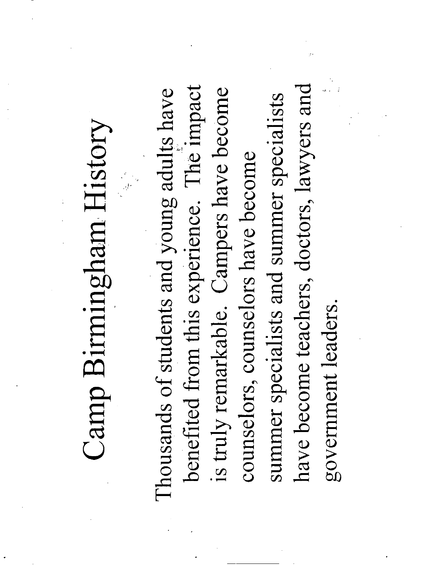## Camp Birmingham History

have become teachers, doctors, lawyers and benefited from this experience. The impact is truly remarkable. Campers have become Thousands of students and young adults have summer specialists and summer specialists counselors, counselors have become government leaders.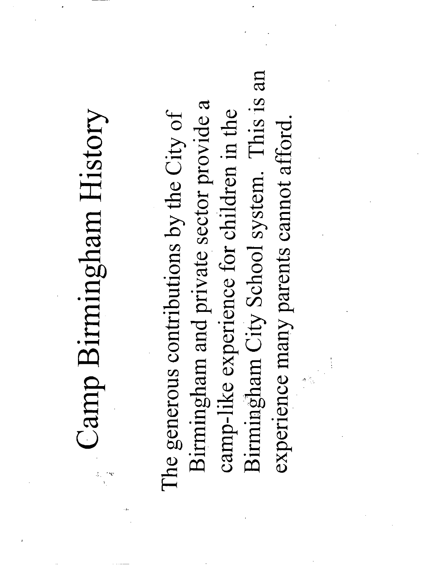## Camp Birmingham History

Birmingham City School system. This is an Birmingham and private sector provide a camp-like experience for children in the The generous contributions by the City of experience many parents cannot afford.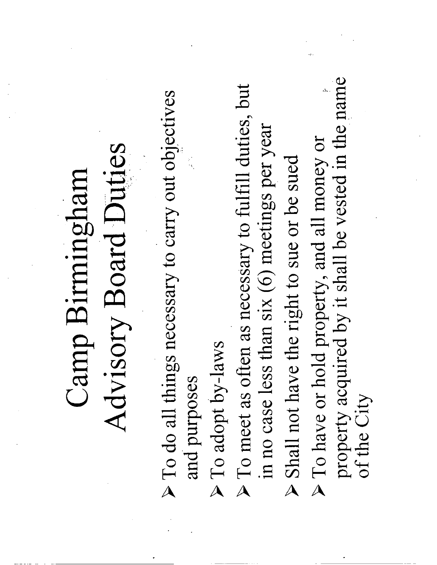### Advisory Board Duties Camp Birmingham

- $\triangleright$  To do all things necessary to carry out objectives and purposes
	- > To adopt by-laws
- > To meet as often as necessary to fulfill duties, but in no case less than six (6) meetings per year
- Shall not have the right to sue or be sued
- property acquired by it shall be vested in the name > To have or hold property, and all money or of the City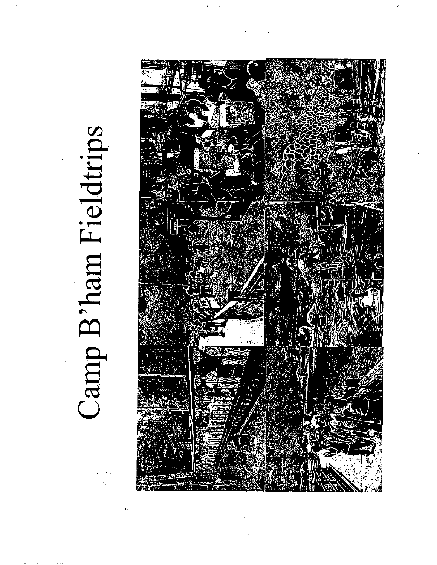## Camp B'ham Fieldtrips

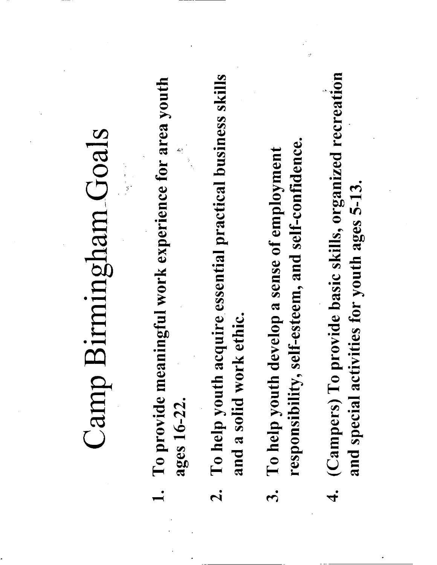## Camp Birmingham Goals

- To provide meaningful work experience for area youth ages 16-22.
- To help youth acquire essential practical business skills and a solid work ethic.  $\mathbf{z}$
- responsibility, self-esteem, and self-confidence. To help youth develop a sense of employment  $\ddot{\mathbf{5}}$
- (Campers) To provide basic skills, organized recreation and special activities for youth ages 5-13.  $\vec{r}$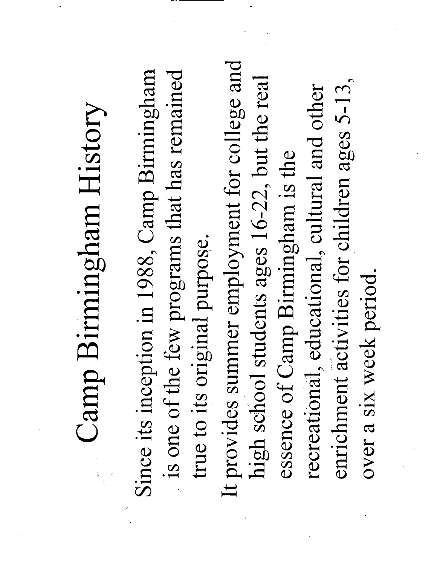# Camp Birmingham History

Since its inception in 1988, Camp Birmingham is one of the few programs that has remained true to its original purpose.

It provides summer employment for college and high school students ages 16-22, but the real enrichment activities for children ages 5-13, recreational, educational, cultural and other essence of Camp Birmingham is the over a six week period.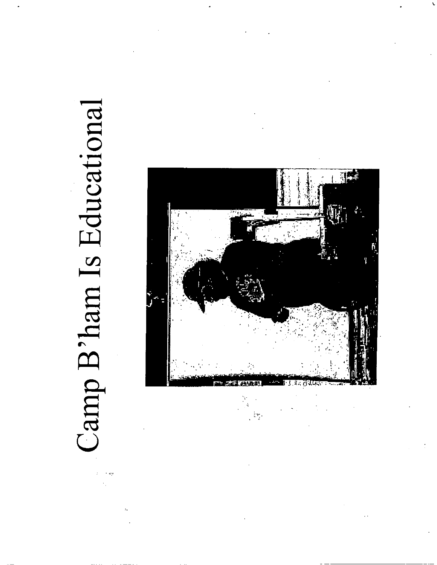# Camp B'ham Is Educational

¢.



 $\mathbb{F}_q^{\mathbb{Z}}$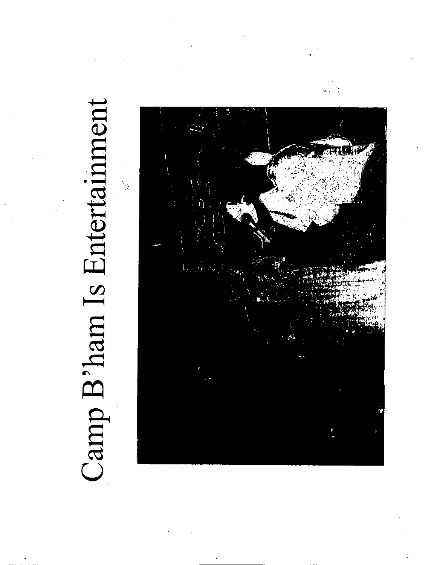# Camp B'ham Is Entertainment

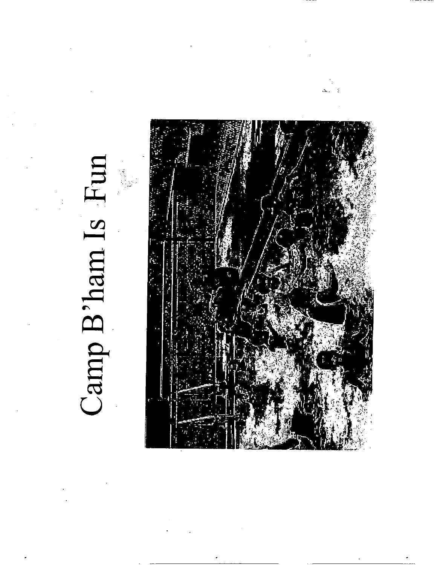### Camp B'ham Is Fun



 $\Lambda_{\rm{tot}}$  .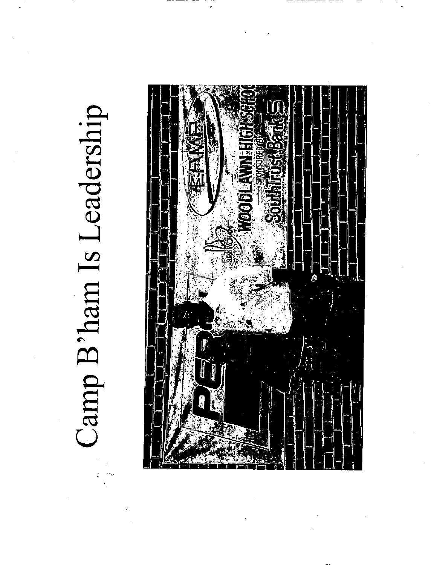# Camp B'ham Is Leadership

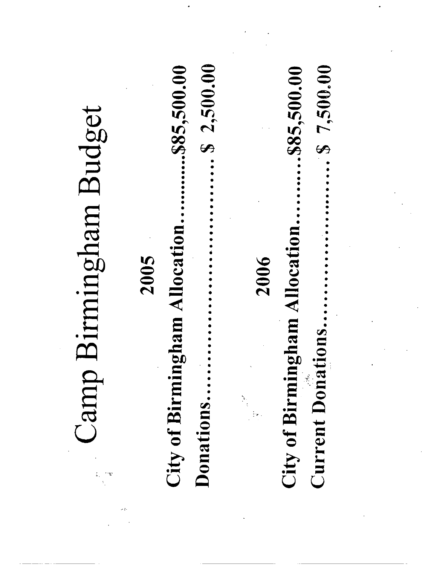|                      | .585,500.00            | \$2,500.00 |                                 | \$7,500.000<br>.\$85,500.00                         |  |
|----------------------|------------------------|------------|---------------------------------|-----------------------------------------------------|--|
| irmingham Budget     |                        |            |                                 |                                                     |  |
|                      | am Allocation.<br>2005 |            | 2006                            | City of Birmingham Allocation.                      |  |
| Camp 1               | City of Birmingh       |            | $\frac{1}{2}$<br>$\mathbb{P}^1$ | $\overline{\mathbf{S}}$ .<br><b>Current Donatio</b> |  |
| $\mathfrak{m}$<br>ŧ, |                        | Donations  |                                 |                                                     |  |

 $\mathbf{A}^{\dagger}$ 

 $\mathcal{L}_{\text{max}}$  and  $\mathcal{L}_{\text{max}}$ 

 $\sim 200$ 

 $\sim 10^{11}$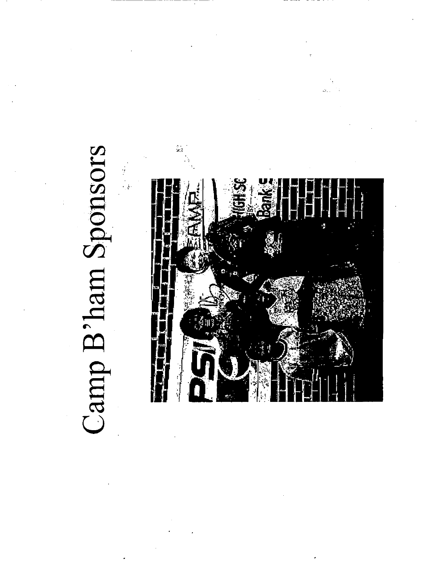### Camp B'ham Sponsors

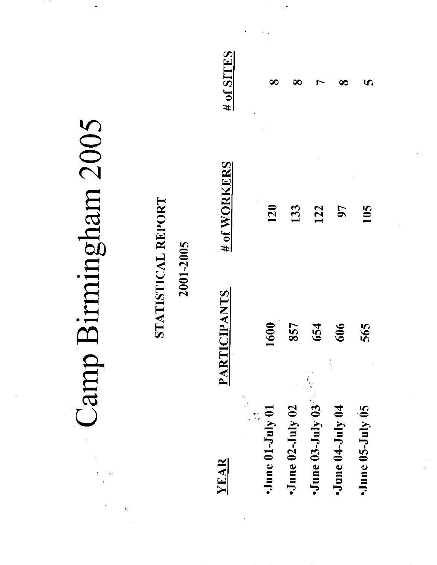| Camp<br>- st   |                                 | YEAR                            | $\cdot$ June 01-July 01<br>$\frac{1}{2}$ . | $\cdot$ June 02-July 02 | $\cdot$ June 03-July 03 | $\cdot$ June 04-July 04 | $\cdot$ June 05-July 05 |
|----------------|---------------------------------|---------------------------------|--------------------------------------------|-------------------------|-------------------------|-------------------------|-------------------------|
|                |                                 | <b>RTICIPANTS</b><br>$\bold{A}$ | 1600                                       | 857                     | 654                     | 606                     | 565                     |
| sumingham 2005 | STATISTICAL REPORT<br>2001-2005 | $H_0f$ WORKERS                  | 120                                        | 133                     | 122                     | 50                      | 105                     |
|                |                                 | $\frac{H}{2}$ of SITES          | $\infty$                                   | ∞                       | ┌                       | ∞                       | 5                       |

 $\hat{\mathcal{A}}$ 

ò,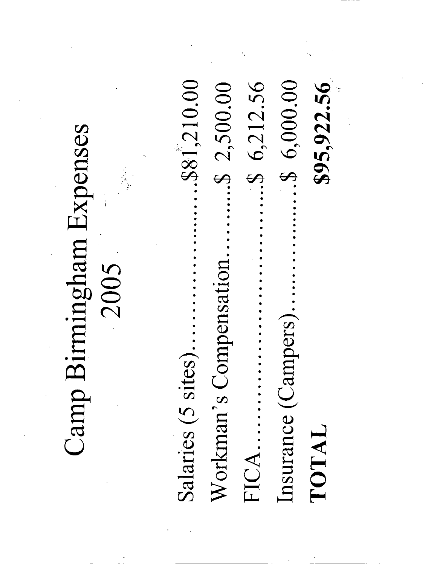..\$81,210.00  $.$ \$6,212.56  $.56,000.00$  $$95,922.56$  $.$ \$ 2,500.00 Camp Birmingham Expenses Workman's Compensation 2005 Insurance (Campers).. Salaries (5 sites).. TOTAL FICA..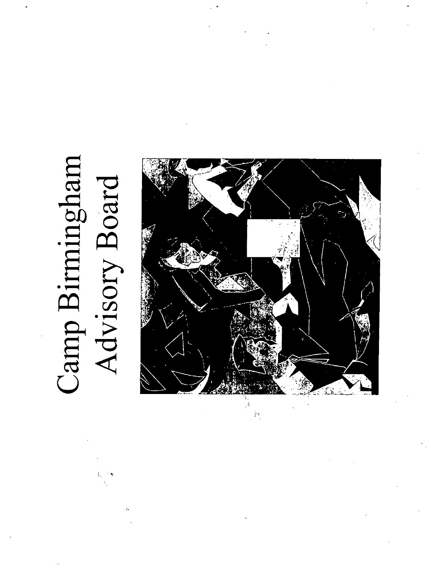### Camp Birmingham Advisory Board

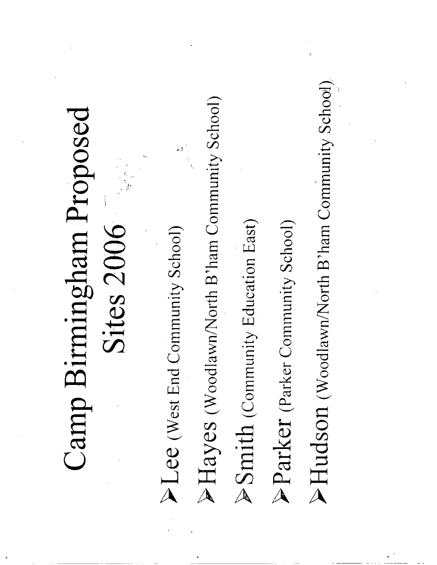### Camp Birmingham Proposed Sites 2006

PLee (West End Community School)

k.

PHayes (Woodlawn/North B'ham Community School)

>Smith (Community Education East)

Parker (Parker Community School)

>Hudson (Woodlawn/North B'ham Community School)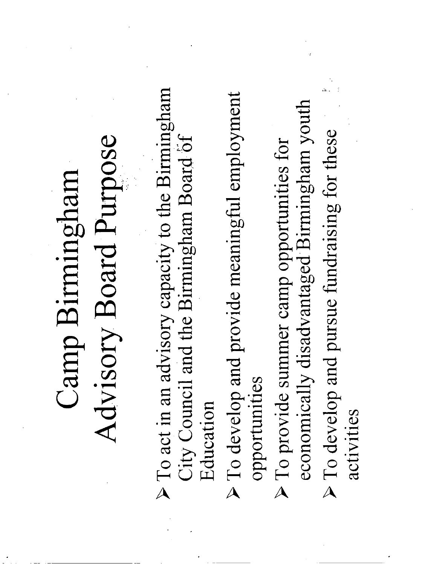### Advisory Board Purpose Camp Birmingham

- $\triangleright$  To act in an advisory capacity to the Birmingham City Council and the Birmingham Board of Education
- $\triangleright$  To develop and provide meaningful employment opportunities
- economically disadvantaged Birmingham youth > To develop and pursue fundraising for these  $\triangleright$  To provide summer camp opportunities for
	- activities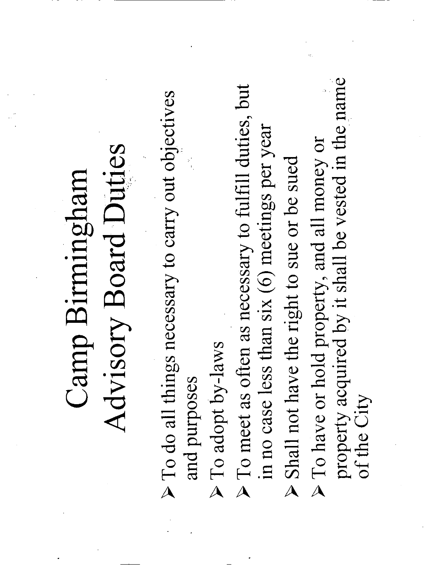### Advisory Board Duties Camp Birmingham

- $\triangleright$  To do all things necessary to carry out objectives and purposes
	- > To adopt by-laws
- $\triangleright$  To meet as often as necessary to fulfill duties, but in no case less than six (6) meetings per year
- Shall not have the right to sue or be sued
- property acquired by it shall be vested in the name > To have or hold property, and all money or of the City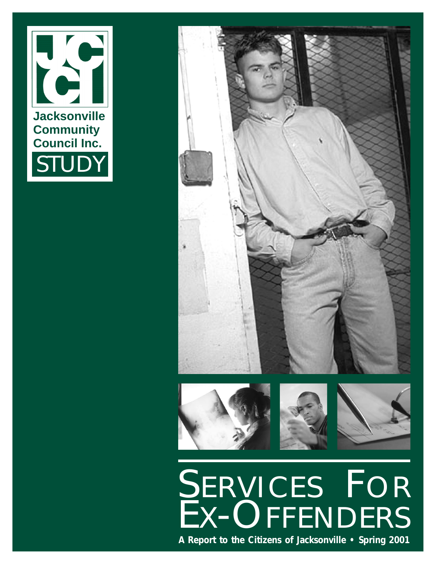



### SERVICES FOR EX-OFFENDERS

**A Report to the Citizens of Jacksonville • Spring 2001**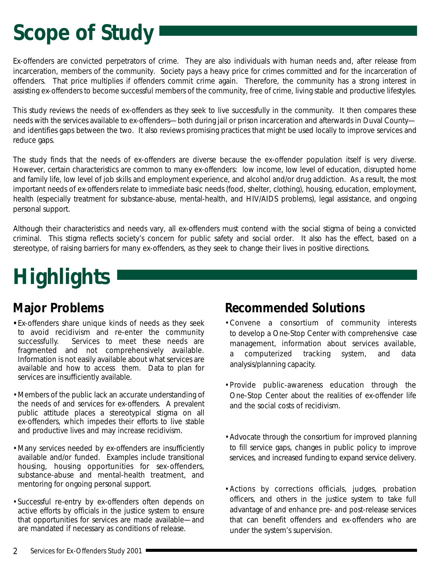### **Scope of Study**

Ex-offenders are convicted perpetrators of crime. They are also individuals with human needs and, after release from incarceration, members of the community. Society pays a heavy price for crimes committed and for the incarceration of offenders. That price multiplies if offenders commit crime again. Therefore, the community has a strong interest in assisting ex-offenders to become successful members of the community, free of crime, living stable and productive lifestyles.

This study reviews the needs of ex-offenders as they seek to live successfully in the community. It then compares these needs with the services available to ex-offenders—both during jail or prison incarceration and afterwards in Duval County and identifies gaps between the two. It also reviews promising practices that might be used locally to improve services and reduce gaps.

The study finds that the needs of ex-offenders are diverse because the ex-offender population itself is very diverse. However, certain characteristics are common to many ex-offenders: low income, low level of education, disrupted home and family life, low level of job skills and employment experience, and alcohol and/or drug addiction. As a result, the most important needs of ex-offenders relate to immediate basic needs (food, shelter, clothing), housing, education, employment, health (especially treatment for substance-abuse, mental-health, and HIV/AIDS problems), legal assistance, and ongoing personal support.

Although their characteristics and needs vary, all ex-offenders must contend with the social stigma of being a convicted criminal. This stigma reflects society's concern for public safety and social order. It also has the effect, based on a stereotype, of raising barriers for many ex-offenders, as they seek to change their lives in positive directions.

### **Highlights**

### *Major Problems*

- **•**Ex-offenders share unique kinds of needs as they seek to avoid recidivism and re-enter the community successfully. Services to meet these needs are fragmented and not comprehensively available. Information is not easily available about what services are available and how to access them. Data to plan for services are insufficiently available.
- •Members of the public lack an accurate understanding of the needs of and services for ex-offenders. A prevalent public attitude places a stereotypical stigma on all ex-offenders, which impedes their efforts to live stable and productive lives and may increase recidivism.
- •Many services needed by ex-offenders are insufficiently available and/or funded. Examples include transitional housing, housing opportunities for sex-offenders, substance-abuse and mental-health treatment, and mentoring for ongoing personal support.
- •Successful re-entry by ex-offenders often depends on active efforts by officials in the justice system to ensure that opportunities for services are made available—and are mandated if necessary as conditions of release.

### *Recommended Solutions*

- •Convene a consortium of community interests to develop a One-Stop Center with comprehensive case management, information about services available, a computerized tracking system, and data analysis/planning capacity.
- •Provide public-awareness education through the One-Stop Center about the realities of ex-offender life and the social costs of recidivism.
- •Advocate through the consortium for improved planning to fill service gaps, changes in public policy to improve services, and increased funding to expand service delivery.
- •Actions by corrections officials, judges, probation officers, and others in the justice system to take full advantage of and enhance pre- and post-release services that can benefit offenders and ex-offenders who are under the system's supervision.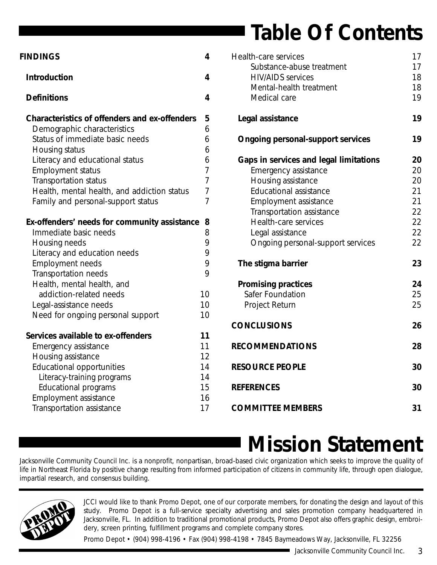### **Table Of Contents**

| <b>FINDINGS</b>                                      | 4              |
|------------------------------------------------------|----------------|
| <b>Introduction</b>                                  | 4              |
| <b>Definitions</b>                                   | 4              |
| <b>Characteristics of offenders and ex-offenders</b> | 5              |
| Demographic characteristics                          | 6              |
| Status of immediate basic needs                      | 6              |
| Housing status                                       | 6              |
| Literacy and educational status                      | 6              |
| <b>Employment status</b>                             | $\overline{7}$ |
| <b>Transportation status</b>                         | $\overline{7}$ |
| Health, mental health, and addiction status          | $\overline{7}$ |
| Family and personal-support status                   | $\overline{7}$ |
| Ex-offenders' needs for community assistance         | 8              |
| Immediate basic needs                                | 8              |
| Housing needs                                        | 9              |
| Literacy and education needs                         | 9              |
| <b>Employment needs</b>                              | 9              |
| Transportation needs                                 | 9              |
| Health, mental health, and                           |                |
| addiction-related needs                              | 10             |
| Legal-assistance needs                               | 10             |
| Need for ongoing personal support                    | 10             |
| Services available to ex-offenders                   | 11             |
| Emergency assistance                                 | 11             |
| Housing assistance                                   | 12             |
| <b>Educational opportunities</b>                     | 14             |
| Literacy-training programs                           | 14             |
| Educational programs                                 | 15             |
| <b>Employment assistance</b>                         | 16             |
| <b>Transportation assistance</b>                     | 17             |

| <b>Health-care services</b>              | 17 |
|------------------------------------------|----|
| Substance-abuse treatment                | 17 |
| <b>HIV/AIDS</b> services                 | 18 |
| Mental-health treatment                  | 18 |
| Medical care                             | 19 |
| Legal assistance                         | 19 |
| <b>Ongoing personal-support services</b> | 19 |
| Gaps in services and legal limitations   | 20 |
| <b>Emergency assistance</b>              | 20 |
| Housing assistance                       | 20 |
| <b>Educational assistance</b>            | 21 |
| <b>Employment assistance</b>             | 21 |
| Transportation assistance                | 22 |
| <b>Health-care services</b>              | 22 |
| Legal assistance                         | 22 |
| Ongoing personal-support services        | 22 |
| The stigma barrier                       | 23 |
| <b>Promising practices</b>               | 24 |
| <b>Safer Foundation</b>                  | 25 |
| <b>Project Return</b>                    | 25 |
| <b>CONCLUSIONS</b>                       | 26 |
| <b>RECOMMENDATIONS</b>                   | 28 |
| <b>RESOURCE PEOPLE</b>                   | 30 |
| <b>REFERENCES</b>                        | 30 |
| <b>COMMITTEE MEMBERS</b>                 | 31 |

### **Mission Statement**

Jacksonville Community Council Inc. is a nonprofit, nonpartisan, broad-based civic organization which seeks to improve the quality of life in Northeast Florida by positive change resulting from informed participation of citizens in community life, through open dialogue, impartial research, and consensus building.



JCCI would like to thank Promo Depot, one of our corporate members, for donating the design and layout of this study. Promo Depot is a full-service specialty advertising and sales promotion company headquartered in Jacksonville, FL. In addition to traditional promotional products, Promo Depot also offers graphic design, embroidery, screen printing, fulfillment programs and complete company stores.

Promo Depot • (904) 998-4196 • Fax (904) 998-4198 • 7845 Baymeadows Way, Jacksonville, FL 32256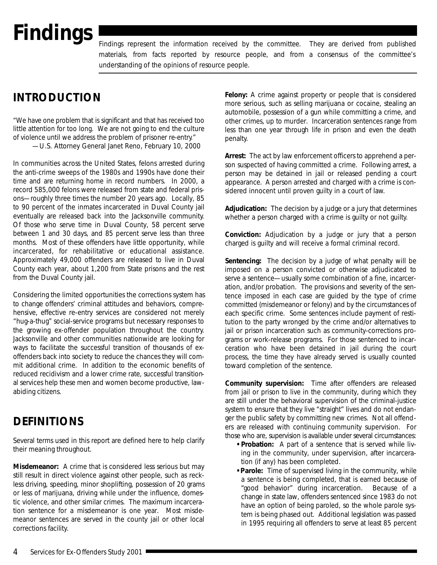### <span id="page-26-0"></span>**Findings**

Findings represent the information received by the committee. They are derived from published materials, from facts reported by resource people, and from a consensus of the committee's understanding of the opinions of resource people.

### **INTRODUCTION**

*" We have one problem that is significant and that has received too little attention for too long. We are not going to end the culture of violence until we address the problem of prisoner re-entry. "* —U.S. Attorney General Janet Reno, February 10, 2000

In communities across the United States, felons arrested during the anti-crime sweeps of the 1980s and 1990s have done their time and are returning home in record numbers. In 2000, a record 585,000 felons were released from state and federal prisons—roughly three times the number 20 years ago. Locally, 85 to 90 percent of the inmates incarcerated in Duval County jail eventually are released back into the Jacksonville community. Of those who serve time in Duval County, 58 percent serve between 1 and 30 days, and 85 percent serve less than three months. Most of these offenders have little opportunity, while incarcerated, for rehabilitative or educational assistance. Approximately 49,000 offenders are released to live in Duval County each year, about 1,200 from State prisons and the rest from the Duval County jail.

Considering the limited opportunities the corrections system has to change offenders' criminal attitudes and behaviors, comprehensive, effective re-entry services are considered not merely "hug-a-thug" social-service programs but necessary responses to the growing ex-offender population throughout the country. Jacksonville and other communities nationwide are looking for ways to facilitate the successful transition of thousands of exoffenders back into society to reduce the chances they will commit additional crime. In addition to the economic benefits of reduced recidivism and a lower crime rate, successful transitional services help these men and women become productive, lawabiding citizens.

### **DEFINITIONS**

Several terms used in this report are defined here to help clarify their meaning throughout.

**Misdemeanor:** A crime that is considered less serious but may still result in direct violence against other people, such as reckless driving, speeding, minor shoplifting, possession of 20 grams or less of marijuana, driving while under the influence, domestic violence, and other similar crimes. The maximum incarceration sentence for a misdemeanor is one year. Most misdemeanor sentences are served in the county jail or other local corrections facility.

**Felony:** A crime against property or people that is considered more serious, such as selling marijuana or cocaine, stealing an automobile, possession of a gun while committing a crime, and other crimes, up to murder. Incarceration sentences range from less than one year through life in prison and even the death penalty.

**Arrest:** The act by law enforcement officers to apprehend a person suspected of having committed a crime. Following arrest, a person may be detained in jail or released pending a court appearance. A person arrested and charged with a crime is considered innocent until proven guilty in a court of law.

**Adjudication:** The decision by a judge or a jury that determines whether a person charged with a crime is guilty or not guilty.

**Conviction:** Adjudication by a judge or jury that a person charged is guilty and will receive a formal criminal record.

**Sentencing:** The decision by a judge of what penalty will be imposed on a person convicted or otherwise adjudicated to serve a sentence—usually some combination of a fine, incarceration, and/or probation. The provisions and severity of the sentence imposed in each case are guided by the type of crime committed (misdemeanor or felony) and by the circumstances of each specific crime. Some sentences include payment of restitution to the party wronged by the crime and/or alternatives to jail or prison incarceration such as community-corrections programs or work-release programs. For those sentenced to incarceration who have been detained in jail during the court process, the time they have already served is usually counted toward completion of the sentence.

**Community supervision:** Time after offenders are released from jail or prison to live in the community, during which they are still under the behavioral supervision of the criminal-justice system to ensure that they live "straight" lives and do not endanger the public safety by committing new crimes. Not all offenders are released with continuing community supervision. For those who are, supervision is available under several circumstances:

- **•Probation:** A part of a sentence that is served while living in the community, under supervision, after incarceration (if any) has been completed.
- **•Parole:** Time of supervised living in the community, while a sentence is being completed, that is earned because of "good behavior" during incarceration. Because of a change in state law, offenders sentenced since 1983 do not have an option of being paroled, so the whole parole system is being phased out. Additional legislation was passed in 1995 requiring all offenders to serve at least 85 percent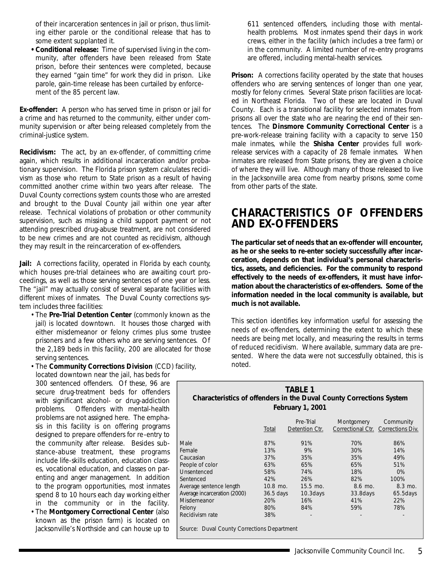<span id="page-27-0"></span>of their incarceration sentences in jail or prison, thus limiting either parole or the conditional release that has to some extent supplanted it.

**•Conditional release:** Time of supervised living in the community, after offenders have been released from State prison, before their sentences were completed, because they earned "gain time" for work they did in prison. Like parole, gain-time release has been curtailed by enforcement of the 85 percent law.

**Ex-offender:** A person who has served time in prison or jail for a crime and has returned to the community, either under community supervision or after being released completely from the criminal-justice system.

**Recidivism:** The act, by an ex-offender, of committing crime again, which results in additional incarceration and/or probationary supervision. The Florida prison system calculates recidivism as those who return to State prison as a result of having committed another crime within two years after release. The Duval County corrections system counts those who are arrested and brought to the Duval County jail within one year after release. Technical violations of probation or other community supervision, such as missing a child support payment or not attending prescribed drug-abuse treatment, are not considered to be new crimes and are not counted as recidivism, although they may result in the reincarceration of ex-offenders.

**Jail:** A corrections facility, operated in Florida by each county, which houses pre-trial detainees who are awaiting court proceedings, as well as those serving sentences of one year or less. The "jail" may actually consist of several separate facilities with different mixes of inmates. The Duval County corrections system includes three facilities:

- •The **Pre-Trial Detention Center** (commonly known as *the jail*) is located downtown. It houses those charged with either misdemeanor or felony crimes plus some trustee prisoners and a few others who are serving sentences. Of the 2,189 beds in this facility, 200 are allocated for those serving sentences.
- •The **Community Corrections Division** (CCD) facility, located downtown near the jail, has beds for

300 sentenced offenders. Of these, 96 are secure drug-treatment beds for offenders with significant alcohol- or drug-addiction problems. Offenders with mental-health problems are not assigned here. The emphasis in this facility is on offering programs designed to prepare offenders for re-entry to the community after release. Besides substance-abuse treatment, these programs include life-skills education, education classes, vocational education, and classes on parenting and anger management. In addition to the program opportunities, most inmates spend 8 to 10 hours each day working either in the community or in the facility.

•The **Montgomery Correctional Center** (also known as the *prison farm*) is located on Jacksonville's Northside and can house up to

611 sentenced offenders, including those with mentalhealth problems. Most inmates spend their days in work crews, either in the facility (which includes a tree farm) or in the community. A limited number of re-entry programs are offered, including mental-health services.

**Prison:** A corrections facility operated by the state that houses offenders who are serving sentences of longer than one year, mostly for felony crimes. Several State prison facilities are located in Northeast Florida. Two of these are located in Duval County. Each is a transitional facility for selected inmates from prisons all over the state who are nearing the end of their sentences. The **Dinsmore Community Correctional Center** is a pre-work-release training facility with a capacity to serve 150 male inmates, while the **Shisha Center** provides full workrelease services with a capacity of 28 female inmates. When inmates are released from State prisons, they are given a choice of where they will live. Although many of those released to live in the Jacksonville area come from nearby prisons, some come from other parts of the state.

### **CHARACTERISTICS OF OFFENDERS AND EX-OFFENDERS**

**The particular set of needs that an ex-offender will encounter, as he or she seeks to re-enter society successfully after incarceration, depends on that individual's personal characteristics, assets, and deficiencies. For the community to respond effectively to the needs of ex-offenders, it must have information about the characteristics of ex-offenders. Some of the information needed in the local community is available, but much is not available.**

This section identifies key information useful for assessing the needs of ex-offenders, determining the extent to which these needs are being met locally, and measuring the results in terms of reduced recidivism. Where available, summary data are presented. Where the data were not successfully obtained, this is noted.

| <b>TABLE 1</b>                                                      |
|---------------------------------------------------------------------|
| Characteristics of offenders in the Duval County Corrections System |
| February 1, 2001                                                    |

|                              | Total       | Pre-Trial<br>Detention Ctr. | Montgomery<br>Correctional Ctr. Corrections Div. | Community |
|------------------------------|-------------|-----------------------------|--------------------------------------------------|-----------|
| <b>Male</b>                  | 87%         | 91%                         | 70%                                              | 86%       |
| Female                       | 13%         | 9%                          | 30%                                              | 14%       |
| Caucasian                    | 37%         | 35%                         | 35%                                              | 49%       |
| People of color              | 63%         | 65%                         | 65%                                              | 51%       |
| Unsentenced                  | 58%         | 74%                         | 18%                                              | $0\%$     |
| Sentenced                    | 42%         | 26%                         | 82%                                              | 100%      |
| Average sentence length      | $10.8$ mo.  | $15.5 \text{ mo}$ .         | 8.6 mo.                                          | $8.3$ mo. |
| Average incarceration (2000) | $36.5$ days | $10.3$ days                 | 33.8 days                                        | 65.5 days |
| Misdemeanor                  | 20%         | 16%                         | 41%                                              | 22%       |
| Felony                       | 80%         | 84%                         | 59%                                              | 78%       |
| Recidivism rate              | 38%         |                             |                                                  |           |

*Source: Duval County Corrections Department*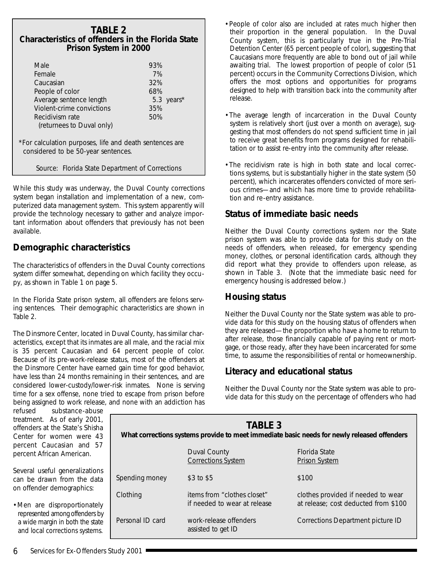### <span id="page-28-0"></span>**TABLE 2 Characteristics of offenders in the Florida State Prison System in 2000**

| Male                      | 93% |            |
|---------------------------|-----|------------|
| Female                    | 7%  |            |
| Caucasian                 | 32% |            |
| People of color           | 68% |            |
| Average sentence length   |     | 5.3 years* |
| Violent-crime convictions | 35% |            |
| Recidivism rate           | 50% |            |
| (returnees to Duval only) |     |            |
|                           |     |            |

\*For calculation purposes, life and death sentences are considered to be 50-year sentences.

*Source: Florida State Department of Corrections*

While this study was underway, the Duval County corrections system began installation and implementation of a new, computerized data management system. This system apparently will provide the technology necessary to gather and analyze important information about offenders that previously has not been available.

### **Demographic characteristics**

The characteristics of offenders in the Duval County corrections system differ somewhat, depending on which facility they occupy, as shown in Table 1 on page 5.

In the Florida State prison system, all offenders are felons serving sentences. Their demographic characteristics are shown in Table 2.

The Dinsmore Center, located in Duval County, has similar characteristics, except that its inmates are all male, and the racial mix is 35 percent Caucasian and 64 percent people of color. Because of its pre-work-release status, most of the offenders at the Dinsmore Center have earned gain time for good behavior, have less than 24 months remaining in their sentences, and are considered lower-custody/lower-risk inmates. None is serving time for a sex offense, none tried to escape from prison before being assigned to work release, and none with an addiction has

- •People of color also are included at rates much higher then their proportion in the general population. In the Duval County system, this is particularly true in the Pre-Trial Detention Center (65 percent people of color), suggesting that Caucasians more frequently are able to bond out of jail while awaiting trial. The lowest proportion of people of color (51 percent) occurs in the Community Corrections Division, which offers the most options and opportunities for programs designed to help with transition back into the community after release.
- •The average length of incarceration in the Duval County system is relatively short (just over a month on average), suggesting that most offenders do not spend sufficient time in jail to receive great benefits from programs designed for rehabilitation or to assist re-entry into the community after release.
- •The recidivism rate is high in both state and local corrections systems, but is substantially higher in the state system (50 percent), which incarcerates offenders convicted of more serious crimes—and which has more time to provide rehabilitation and re-entry assistance.

### **Status of immediate basic needs**

Neither the Duval County corrections system nor the State prison system was able to provide data for this study on the needs of offenders, when released, for emergency spending money, clothes, or personal identification cards, although they did report what they provide to offenders upon release, as shown in Table 3. (Note that the immediate basic need for emergency housing is addressed below.)

### **Housing status**

Neither the Duval County nor the State system was able to provide data for this study on the housing status of offenders when they are released—the proportion who have a home to return to after release, those financially capable of paying rent or mortgage, or those ready, after they have been incarcerated for some time, to assume the responsibilities of rental or homeownership.

### **Literacy and educational status**

Neither the Duval County nor the State system was able to provide data for this study on the percentage of offenders who had

refused substance-abuse treatment. As of early 2001, offenders at the State's Shisha Center for women were 43 percent Caucasian and 57 percent African American.

Several useful generalizations can be drawn from the data on offender demographics:

•Men are disproportionately represented among offenders by a wide margin in both the state and local corrections systems.

| <b>TABLE 3</b><br>What corrections systems provide to meet immediate basic needs for newly released offenders |                                                             |                                                                            |  |  |
|---------------------------------------------------------------------------------------------------------------|-------------------------------------------------------------|----------------------------------------------------------------------------|--|--|
|                                                                                                               | Duval County<br><b>Corrections System</b>                   | <b>Florida State</b><br><b>Prison System</b>                               |  |  |
| Spending money                                                                                                | \$3 to \$5                                                  | \$100                                                                      |  |  |
| Clothing                                                                                                      | items from "clothes closet"<br>if needed to wear at release | clothes provided if needed to wear<br>at release; cost deducted from \$100 |  |  |
| Personal ID card                                                                                              | work-release offenders<br>assisted to get ID                | Corrections Department picture ID                                          |  |  |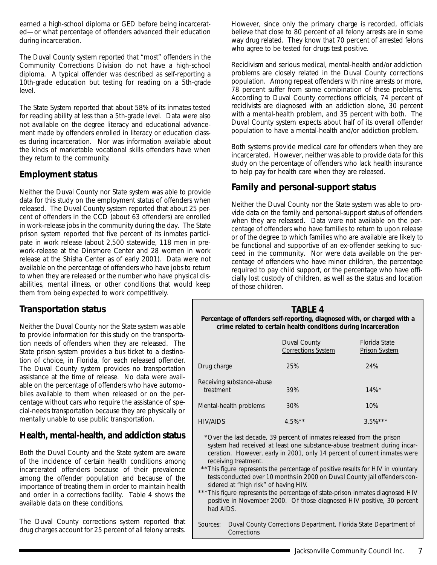<span id="page-29-0"></span>earned a high-school diploma or GED before being incarcerated—or what percentage of offenders advanced their education during incarceration.

The Duval County system reported that "most" offenders in the Community Corrections Division do not have a high-school diploma. A typical offender was described as self-reporting a 10th-grade education but testing for reading on a 5th-grade level.

The State System reported that about 58% of its inmates tested for reading ability at less than a 5th-grade level. Data were also not available on the degree literacy and educational advancement made by offenders enrolled in literacy or education classes during incarceration. Nor was information available about the kinds of marketable vocational skills offenders have when they return to the community.

### **Employment status**

Neither the Duval County nor State system was able to provide data for this study on the employment status of offenders when released. The Duval County system reported that about 25 percent of offenders in the CCD (about 63 offenders) are enrolled in work-release jobs in the community during the day. The State prison system reported that five percent of its inmates participate in work release (about 2,500 statewide, 118 men in prework-release at the Dinsmore Center and 28 women in work release at the Shisha Center as of early 2001). Data were not available on the percentage of offenders who have jobs to return to when they are released or the number who have physical disabilities, mental illness, or other conditions that would keep them from being expected to work competitively.

### **Transportation status**

Neither the Duval County nor the State system was able to provide information for this study on the transportation needs of offenders when they are released. The State prison system provides a bus ticket to a destination of choice, in Florida, for each released offender. The Duval County system provides no transportation assistance at the time of release. No data were available on the percentage of offenders who have automobiles available to them when released or on the percentage without cars who require the assistance of special-needs transportation because they are physically or mentally unable to use public transportation.

### **Health, mental-health, and addiction status**

Both the Duval County and the State system are aware of the incidence of certain health conditions among incarcerated offenders because of their prevalence among the offender population and because of the importance of treating them in order to maintain health and order in a corrections facility. Table 4 shows the available data on these conditions.

The Duval County corrections system reported that drug charges account for 25 percent of all felony arrests. However, since only the primary charge is recorded, officials believe that close to 80 percent of all felony arrests are in some way drug related. They know that 70 percent of arrested felons who agree to be tested for drugs test positive.

Recidivism and serious medical, mental-health and/or addiction problems are closely related in the Duval County corrections population. Among repeat offenders with nine arrests or more, 78 percent suffer from some combination of these problems. According to Duval County corrections officials, 74 percent of recidivists are diagnosed with an addiction alone, 30 percent with a mental-health problem, and 35 percent with both. The Duval County system expects about half of its overall offender population to have a mental-health and/or addiction problem.

Both systems provide medical care for offenders when they are incarcerated. However, neither was able to provide data for this study on the percentage of offenders who lack health insurance to help pay for health care when they are released.

### **Family and personal-support status**

Neither the Duval County nor the State system was able to provide data on the family and personal-support status of offenders when they are released. Data were not available on the percentage of offenders who have families to return to upon release or of the degree to which families who are available are likely to be functional and supportive of an ex-offender seeking to succeed in the community. Nor were data available on the percentage of offenders who have minor children, the percentage required to pay child support, or the percentage who have officially lost custody of children, as well as the status and location of those children.

### **TABLE 4**

**Percentage of offenders self-reporting, diagnosed with, or charged with a crime related to certain health conditions during incarceration**

|                                        | Duval County<br><b>Corrections System</b> | Florida State<br><b>Prison System</b> |
|----------------------------------------|-------------------------------------------|---------------------------------------|
| Drug charge                            | 25%                                       | 24%                                   |
| Receiving substance-abuse<br>treatment | 39%                                       | $14\%$ <sup>*</sup>                   |
| Mental-health problems                 | 30%                                       | 10%                                   |
| HIV/AIDS                               | $4.5\%**$                                 | $3.5\%***$                            |

\*Over the last decade, 39 percent of inmates released from the prison system had received at least one substance-abuse treatment during incarceration. However, early in 2001, only 14 percent of current inmates were receiving treatment.

- \*\*This figure represents the percentage of positive results for HIV in voluntary tests conducted over 10 months in 2000 on Duval County jail offenders considered at "high risk" of having HIV.
- \*\*\*This figure represents the percentage of state-prison inmates diagnosed HIV positive in November 2000. Of those diagnosed HIV positive, 30 percent had AIDS.
- *Sources: Duval County Corrections Department, Florida State Department of Corrections*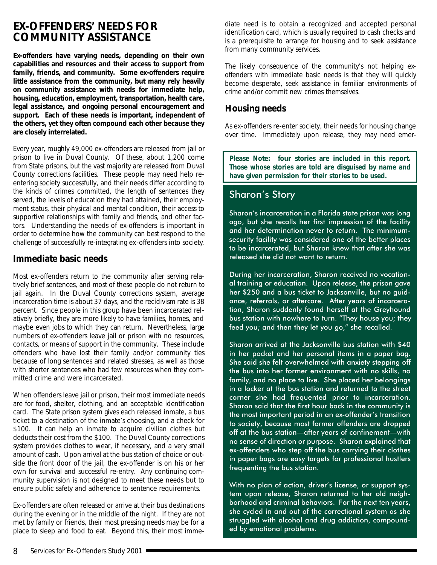### <span id="page-30-0"></span>**EX-OFFENDERS' NEEDS FOR COMMUNITY ASSISTANCE**

**Ex-offenders have varying needs, depending on their own capabilities and resources and their access to support from family, friends, and community. Some ex-offenders require little assistance from the community, but many rely heavily on community assistance with needs for immediate help, housing, education, employment, transportation, health care, legal assistance, and ongoing personal encouragement and support. Each of these needs is important, independent of the others, yet they often compound each other because they are closely interrelated.**

Every year, roughly 49,000 ex-offenders are released from jail or prison to live in Duval County. Of these, about 1,200 come from State prisons, but the vast majority are released from Duval County corrections facilities. These people may need help reentering society successfully, and their needs differ according to the kinds of crimes committed, the length of sentences they served, the levels of education they had attained, their employment status, their physical and mental condition, their access to supportive relationships with family and friends, and other factors. Understanding the needs of ex-offenders is important in order to determine how the community can best respond to the challenge of successfully re-integrating ex-offenders into society.

### **Immediate basic needs**

Most ex-offenders return to the community after serving relatively brief sentences, and most of these people do not return to jail again. In the Duval County corrections system, average incarceration time is about 37 days, and the recidivism rate is 38 percent. Since people in this group have been incarcerated relatively briefly, they are more likely to have families, homes, and maybe even jobs to which they can return. Nevertheless, large numbers of ex-offenders leave jail or prison with no resources, contacts, or means of support in the community. These include offenders who have lost their family and/or community ties because of long sentences and related stresses, as well as those with shorter sentences who had few resources when they committed crime and were incarcerated.

When offenders leave jail or prison, their most immediate needs are for food, shelter, clothing, and an acceptable identification card. The State prison system gives each released inmate, a bus ticket to a destination of the inmate's choosing, and a check for \$100. It can help an inmate to acquire civilian clothes but deducts their cost from the \$100. The Duval County corrections system provides clothes to wear, if necessary, and a very small amount of cash. Upon arrival at the bus station of choice or outside the front door of the jail, the ex-offender is on his or her own for survival and successful re-entry. Any continuing community supervision is not designed to meet these needs but to ensure public safety and adherence to sentence requirements.

Ex-offenders are often released or arrive at their bus destinations during the evening or in the middle of the night. If they are not met by family or friends, their most pressing needs may be for a place to sleep and food to eat. Beyond this, their most imme-

diate need is to obtain a recognized and accepted personal identification card, which is usually required to cash checks and is a prerequisite to arrange for housing and to seek assistance from many community services.

*The likely consequence of the community's not helping exoffenders with immediate basic needs is that they will quickly become desperate, seek assistance in familiar environments of crime and/or commit new crimes themselves.*

### **Housing needs**

As ex-offenders re-enter society, their needs for housing change over time. Immediately upon release, they may need emer-

*Please Note: four stories are included in this report. Those whose stories are told are disguised by name and have given permission for their stories to be used.*

### Sharon's Story

Sharon's incarceration in a Florida state prison was long ago, but she recalls her first impression of the facility and her determination never to return. The minimumsecurity facility was considered one of the better places to be incarcerated, but Sharon knew that after she was released she did not want to return.

During her incarceration, Sharon received no vocational training or education. Upon release, the prison gave her \$250 and a bus ticket to Jacksonville, but no guidance, referrals, or aftercare. After years of incarceration, Sharon suddenly found herself at the Greyhound bus station with nowhere to turn. "They house you; they feed you; and then they let you go," she recalled.

Sharon arrived at the Jacksonville bus station with \$40 in her pocket and her personal items in a paper bag. She said she felt overwhelmed with anxiety stepping off the bus into her former environment with no skills, no family, and no place to live. She placed her belongings in a locker at the bus station and returned to the street corner she had frequented prior to incarceration. Sharon said that the first hour back in the community is the most important period in an ex-offender's transition to society, because most former offenders are dropped off at the bus station—after years of confinement—with no sense of direction or purpose. Sharon explained that ex-offenders who step off the bus carrying their clothes in paper bags are easy targets for professional hustlers frequenting the bus station.

With no plan of action, driver's license, or support system upon release, Sharon returned to her old neighborhood and criminal behaviors. For the next ten years, she cycled in and out of the correctional system as she struggled with alcohol and drug addiction, compounded by emotional problems.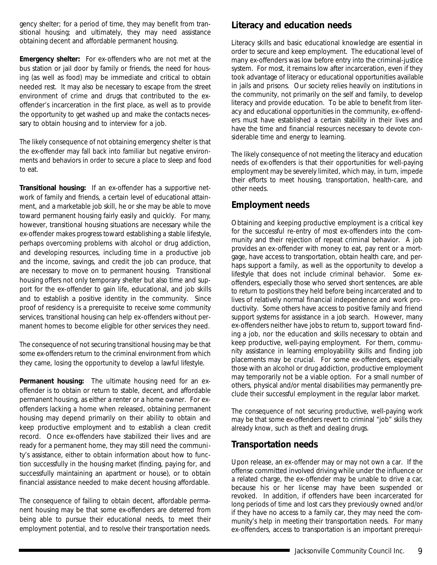<span id="page-31-0"></span>gency shelter; for a period of time, they may benefit from transitional housing; and ultimately, they may need assistance obtaining decent and affordable permanent housing.

**Emergency shelter:** For ex-offenders who are not met at the bus station or jail door by family or friends, the need for housing (as well as food) may be immediate and critical to obtain needed rest. It may also be necessary to escape from the street environment of crime and drugs that contributed to the exoffender's incarceration in the first place, as well as to provide the opportunity to get washed up and make the contacts necessary to obtain housing and to interview for a job.

*The likely consequence of not obtaining emergency shelter is that the ex-offender may fall back into familiar but negative environments and behaviors in order to secure a place to sleep and food to eat.*

**Transitional housing:** If an ex-offender has a supportive network of family and friends, a certain level of educational attainment, and a marketable job skill, he or she may be able to move toward permanent housing fairly easily and quickly. For many, however, transitional housing situations are necessary while the ex-offender makes progress toward establishing a stable lifestyle, perhaps overcoming problems with alcohol or drug addiction, and developing resources, including time in a productive job and the income, savings, and credit the job can produce, that are necessary to move on to permanent housing. Transitional housing offers not only temporary shelter but also time and support for the ex-offender to gain life, educational, and job skills and to establish a positive identity in the community. Since proof of residency is a prerequisite to receive some community services, transitional housing can help ex-offenders without permanent homes to become eligible for other services they need.

*The consequence of not securing transitional housing may be that some ex-offenders return to the criminal environment from which they came, losing the opportunity to develop a lawful lifestyle.*

**Permanent housing:** The ultimate housing need for an exoffender is to obtain or return to stable, decent, and affordable permanent housing, as either a renter or a home owner. For exoffenders lacking a home when released, obtaining permanent housing may depend primarily on their ability to obtain and keep productive employment and to establish a clean credit record. Once ex-offenders have stabilized their lives and are ready for a permanent home, they may still need the community's assistance, either to obtain information about how to function successfully in the housing market (finding, paying for, and successfully maintaining an apartment or house), or to obtain financial assistance needed to make decent housing affordable.

*The consequence of failing to obtain decent, affordable permanent housing may be that some ex-offenders are deterred from being able to pursue their educational needs, to meet their employment potential, and to resolve their transportation needs.*

### **Literacy and education needs**

Literacy skills and basic educational knowledge are essential in order to secure and keep employment. The educational level of many ex-offenders was low before entry into the criminal-justice system. For most, it remains low after incarceration, even if they took advantage of literacy or educational opportunities available in jails and prisons. Our society relies heavily on institutions in the community, not primarily on the self and family, to develop literacy and provide education. To be able to benefit from literacy and educational opportunities in the community, ex-offenders must have established a certain stability in their lives and have the time and financial resources necessary to devote considerable time and energy to learning.

*The likely consequence of not meeting the literacy and education needs of ex-offenders is that their opportunities for well-paying employment may be severely limited, which may, in turn, impede their efforts to meet housing, transportation, health-care, and other needs.*

### **Employment needs**

Obtaining and keeping productive employment is a critical key for the successful re-entry of most ex-offenders into the community and their rejection of repeat criminal behavior. A job provides an ex-offender with money to eat, pay rent or a mortgage, have access to transportation, obtain health care, and perhaps support a family, as well as the opportunity to develop a lifestyle that does not include criminal behavior. Some exoffenders, especially those who served short sentences, are able to return to positions they held before being incarcerated and to lives of relatively normal financial independence and work productivity. Some others have access to positive family and friend support systems for assistance in a job search. However, many ex-offenders neither have jobs to return to, support toward finding a job, nor the education and skills necessary to obtain and keep productive, well-paying employment. For them, community assistance in learning employability skills and finding job placements may be crucial. For some ex-offenders, especially those with an alcohol or drug addiction, productive employment may temporarily not be a viable option. For a small number of others, physical and/or mental disabilities may permanently preclude their successful employment in the regular labor market.

*The consequence of not securing productive, well-paying work may be that some ex-offenders revert to criminal "job" skills they already know, such as theft and dealing drugs.*

### **Transportation needs**

Upon release, an ex-offender may or may not own a car. If the offense committed involved driving while under the influence or a related charge, the ex-offender may be unable to drive a car, because his or her license may have been suspended or revoked. In addition, if offenders have been incarcerated for long periods of time and lost cars they previously owned and/or if they have no access to a family car, they may need the community's help in meeting their transportation needs. For many ex-offenders, access to transportation is an important prerequi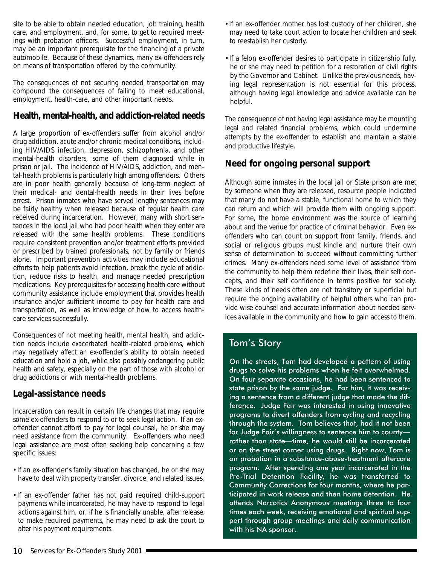<span id="page-32-0"></span>site to be able to obtain needed education, job training, health care, and employment, and, for some, to get to required meetings with probation officers. Successful employment, in turn, may be an important prerequisite for the financing of a private automobile. Because of these dynamics, many ex-offenders rely on means of transportation offered by the community.

*The consequences of not securing needed transportation may compound the consequences of failing to meet educational, employment, health-care, and other important needs.*

### **Health, mental-health, and addiction-related needs**

A large proportion of ex-offenders suffer from alcohol and/or drug addiction, acute and/or chronic medical conditions, including HIV/AIDS infection, depression, schizophrenia, and other mental-health disorders, some of them diagnosed while in prison or jail. The incidence of HIV/AIDS, addiction, and mental-health problems is particularly high among offenders. Others are in poor health generally because of long-term neglect of their medical- and dental-health needs in their lives before arrest. Prison inmates who have served lengthy sentences may be fairly healthy when released because of regular health care received during incarceration. However, many with short sentences in the local jail who had poor health when they enter are released with the same health problems. These conditions require consistent prevention and/or treatment efforts provided or prescribed by trained professionals, not by family or friends alone. Important prevention activities may include educational efforts to help patients avoid infection, break the cycle of addiction, reduce risks to health, and manage needed prescription medications. Key prerequisites for accessing health care without community assistance include employment that provides health insurance and/or sufficient income to pay for health care and transportation, as well as knowledge of how to access healthcare services successfully.

*Consequences of not meeting health, mental health, and addiction needs include exacerbated health-related problems, which may negatively affect an ex-offender's ability to obtain needed education and hold a job, while also possibly endangering public health and safety, especially on the part of those with alcohol or drug addictions or with mental-health problems.*

### **Legal-assistance needs**

Incarceration can result in certain life changes that may require some ex-offenders to respond to or to seek legal action. If an exoffender cannot afford to pay for legal counsel, he or she may need assistance from the community. Ex-offenders who need legal assistance are most often seeking help concerning a few specific issues:

- •If an ex-offender's family situation has changed, he or she may have to deal with property transfer, divorce, and related issues.
- •If an ex-offender father has not paid required child-support payments while incarcerated, he may have to respond to legal actions against him, or, if he is financially unable, after release, to make required payments, he may need to ask the court to alter his payment requirements.
- •If an ex-offender mother has lost custody of her children, she may need to take court action to locate her children and seek to reestablish her custody.
- •If a felon ex-offender desires to participate in citizenship fully, he or she may need to petition for a restoration of civil rights by the Governor and Cabinet. Unlike the previous needs, having legal representation is not essential for this process, although having legal knowledge and advice available can be helpful.

*The consequence of not having legal assistance may be mounting legal and related financial problems, which could undermine attempts by the ex-offender to establish and maintain a stable and productive lifestyle.*

### **Need for ongoing personal support**

Although some inmates in the local jail or State prison are met by someone when they are released, resource people indicated that many do not have a stable, functional home to which they can return and which will provide them with ongoing support. For some, the home environment was the source of learning about and the venue for practice of criminal behavior. Even exoffenders who can count on support from family, friends, and social or religious groups must kindle and nurture their own sense of determination to succeed without committing further crimes. Many ex-offenders need some level of assistance from the community to help them redefine their lives, their self concepts, and their self confidence in terms positive for society. These kinds of needs often are not transitory or superficial but require the ongoing availability of helpful others who can provide wise counsel and accurate information about needed services available in the community and how to gain access to them.

### Tom's Story

On the streets, Tom had developed a pattern of using drugs to solve his problems when he felt overwhelmed. On four separate occasions, he had been sentenced to state prison by the same judge. For him, it was receiving a sentence from a different judge that made the difference. Judge Fair was interested in using innovative programs to divert offenders from cycling and recycling through the system. Tom believes that, had it not been for Judge Fair's willingness to sentence him to county rather than state—time, he would still be incarcerated or on the street corner using drugs. Right now, Tom is on probation in a substance-abuse-treatment aftercare program. After spending one year incarcerated in the Pre-Trial Detention Facility, he was transferred to Community Corrections for four months, where he participated in work release and then home detention. He attends Narcotics Anonymous meetings three to four times each week, receiving emotional and spiritual support through group meetings and daily communication with his NA sponsor.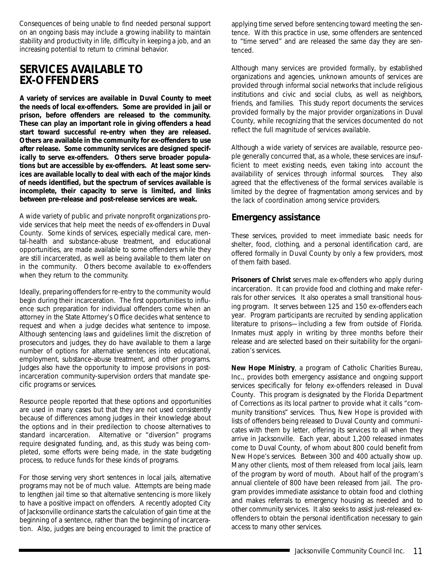<span id="page-33-0"></span>*Consequences of being unable to find needed personal support on an ongoing basis may include a growing inability to maintain stability and productivity in life, difficulty in keeping a job, and an increasing potential to return to criminal behavior.*

### **SERVICES AVAILABLE TO EX-OFFENDERS**

**A variety of services are available in Duval County to meet the needs of local ex-offenders. Some are provided in jail or prison, before offenders are released to the community. These can play an important role in giving offenders a head start toward successful re-entry when they are released. Others are available in the community for ex-offenders to use after release. Some community services are designed specifically to serve ex-offenders. Others serve broader populations but are accessible by ex-offenders. At least some services are available locally to deal with each of the major kinds of needs identified, but the spectrum of services available is incomplete, their capacity to serve is limited, and links between pre-release and post-release services are weak.**

A wide variety of public and private nonprofit organizations provide services that help meet the needs of ex-offenders in Duval County. Some kinds of services, especially medical care, mental-health and substance-abuse treatment, and educational opportunities, are made available to some offenders while they are still incarcerated, as well as being available to them later on in the community. Others become available to ex-offenders when they return to the community.

Ideally, preparing offenders for re-entry to the community would begin during their incarceration. The first opportunities to influence such preparation for individual offenders come when an attorney in the State Attorney's Office decides what sentence to request and when a judge decides what sentence to impose. Although sentencing laws and guidelines limit the discretion of prosecutors and judges, they do have available to them a large number of options for alternative sentences into educational, employment, substance-abuse treatment, and other programs. Judges also have the opportunity to impose provisions in postincarceration community-supervision orders that mandate specific programs or services.

Resource people reported that these options and opportunities are used in many cases but that they are not used consistently because of differences among judges in their knowledge about the options and in their predilection to choose alternatives to standard incarceration. Alternative or "diversion" programs require designated funding, and, as this study was being completed, some efforts were being made, in the state budgeting process, to reduce funds for these kinds of programs.

For those serving very short sentences in local jails, alternative programs may not be of much value. Attempts are being made to lengthen jail time so that alternative sentencing is more likely to have a positive impact on offenders. A recently adopted City of Jacksonville ordinance starts the calculation of gain time at the beginning of a sentence, rather than the beginning of incarceration. Also, judges are being encouraged to limit the practice of applying time served before sentencing toward meeting the sentence. With this practice in use, some offenders are sentenced to "time served" and are released the same day they are sentenced.

Although many services are provided formally, by established organizations and agencies, unknown amounts of services are provided through informal social networks that include religious institutions and civic and social clubs, as well as neighbors, friends, and families. This study report documents the services provided formally by the major provider organizations in Duval County, while recognizing that the services documented do not reflect the full magnitude of services available.

Although a wide variety of services are available, resource people generally concurred that, as a whole, these services are insufficient to meet existing needs, even taking into account the availability of services through informal sources. They also agreed that the effectiveness of the formal services available is limited by the degree of fragmentation among services and by the lack of coordination among service providers.

### **Emergency assistance**

These services, provided to meet immediate basic needs for shelter, food, clothing, and a personal identification card, are offered formally in Duval County by only a few providers, most of them faith based.

**Prisoners of Christ** serves male ex-offenders who apply during incarceration. It can provide food and clothing and make referrals for other services. It also operates a small transitional housing program. It serves between 125 and 150 ex-offenders each year. Program participants are recruited by sending application literature to prisons—including a few from outside of Florida. Inmates must apply in writing by three months before their release and are selected based on their suitability for the organization's services.

**New Hope Ministry**, a program of Catholic Charities Bureau, Inc., provides both emergency assistance and ongoing support services specifically for felony ex-offenders released in Duval County. This program is designated by the Florida Department of Corrections as its local partner to provide what it calls "community transitions" services. Thus, New Hope is provided with lists of offenders being released to Duval County and communicates with them by letter, offering its services to all when they arrive in Jacksonville. Each year, about 1,200 released inmates come to Duval County, of whom about 800 could benefit from New Hope's services. Between 300 and 400 actually show up. Many other clients, most of them released from local jails, learn of the program by word of mouth. About half of the program's annual clientele of 800 have been released from jail. The program provides immediate assistance to obtain food and clothing and makes referrals to emergency housing as needed and to other community services. It also seeks to assist just-released exoffenders to obtain the personal identification necessary to gain access to many other services.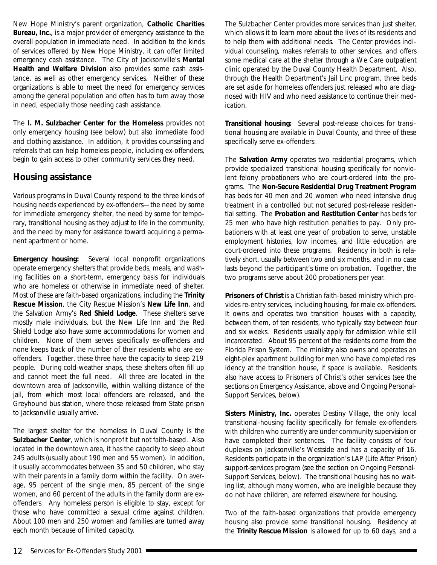<span id="page-34-0"></span>New Hope Ministry's parent organization, **Catholic Charities Bureau, Inc.**, is a major provider of emergency assistance to the overall population in immediate need. In addition to the kinds of services offered by New Hope Ministry, it can offer limited emergency cash assistance. The City of Jacksonville's **Mental Health and Welfare Division** also provides some cash assistance, as well as other emergency services. Neither of these organizations is able to meet the need for emergency services among the general population and often has to turn away those in need, especially those needing cash assistance.

The **I. M. Sulzbacher Center for the Homeless** provides not only emergency housing (see below) but also immediate food and clothing assistance. In addition, it provides counseling and referrals that can help homeless people, including ex-offenders, begin to gain access to other community services they need.

### **Housing assistance**

Various programs in Duval County respond to the three kinds of housing needs experienced by ex-offenders—the need by some for immediate emergency shelter, the need by some for temporary, transitional housing as they adjust to life in the community, and the need by many for assistance toward acquiring a permanent apartment or home.

**Emergency housing:** Several local nonprofit organizations operate emergency shelters that provide beds, meals, and washing facilities on a short-term, emergency basis for individuals who are homeless or otherwise in immediate need of shelter. Most of these are faith-based organizations, including the **Trinity Rescue Mission**, the City Rescue Mission's **New Life Inn**, and the Salvation Army's **Red Shield Lodge**. These shelters serve mostly male individuals, but the New Life Inn and the Red Shield Lodge also have some accommodations for women and children. None of them serves specifically ex-offenders and none keeps track of the number of their residents who are exoffenders. Together, these three have the capacity to sleep 219 people. During cold-weather snaps, these shelters often fill up and cannot meet the full need. All three are located in the downtown area of Jacksonville, within walking distance of the jail, from which most local offenders are released, and the Greyhound bus station, where those released from State prison to Jacksonville usually arrive.

The largest shelter for the homeless in Duval County is the **Sulzbacher Center**, which is nonprofit but not faith-based. Also located in the downtown area, it has the capacity to sleep about 245 adults (usually about 190 men and 55 women). In addition, it usually accommodates between 35 and 50 children, who stay with their parents in a family dorm within the facility. On average, 95 percent of the single men, 85 percent of the single women, and 60 percent of the adults in the family dorm are exoffenders. Any homeless person is eligible to stay, except for those who have committed a sexual crime against children. About 100 men and 250 women and families are turned away each month because of limited capacity.

The Sulzbacher Center provides more services than just shelter, which allows it to learn more about the lives of its residents and to help them with additional needs. The Center provides individual counseling, makes referrals to other services, and offers some medical care at the shelter through a We Care outpatient clinic operated by the Duval County Health Department. Also, through the Health Department's Jail Linc program, three beds are set aside for homeless offenders just released who are diagnosed with HIV and who need assistance to continue their medication.

**Transitional housing:** Several post-release choices for transitional housing are available in Duval County, and three of these specifically serve ex-offenders:

The **Salvation Army** operates two residential programs, which provide specialized transitional housing specifically for nonviolent felony probationers who are court-ordered into the programs. The **Non-Secure Residential Drug Treatment Program** has beds for 40 men and 20 women who need intensive drug treatment in a controlled but not secured post-release residential setting. The **Probation and Restitution Center** has beds for 25 men who have high restitution penalties to pay. Only probationers with at least one year of probation to serve, unstable employment histories, low incomes, and little education are court-ordered into these programs. Residency in both is relatively short, usually between two and six months, and in no case lasts beyond the participant's time on probation. Together, the two programs serve about 200 probationers per year.

**Prisoners of Christ** is a Christian faith-based ministry which provides re-entry services, including housing, for male ex-offenders. It owns and operates two transition houses with a capacity, between them, of ten residents, who typically stay between four and six weeks. Residents usually apply for admission while still incarcerated. About 95 percent of the residents come from the Florida Prison System. The ministry also owns and operates an eight-plex apartment building for men who have completed residency at the transition house, if space is available. Residents also have access to Prisoners of Christ's other services (see the sections on Emergency Assistance, above and Ongoing Personal-Support Services, below).

**Sisters Ministry, Inc.** operates Destiny Village, the only local transitional-housing facility specifically for female ex-offenders with children who currently are under community supervision or have completed their sentences. The facility consists of four duplexes on Jacksonville's Westside and has a capacity of 16. Residents participate in the organization's LAP (Life After Prison) support-services program (see the section on Ongoing Personal-Support Services, below). The transitional housing has no waiting list, although many women, who are ineligible because they do not have children, are referred elsewhere for housing.

Two of the faith-based organizations that provide emergency housing also provide some transitional housing. Residency at the **Trinity Rescue Mission** is allowed for up to 60 days, and a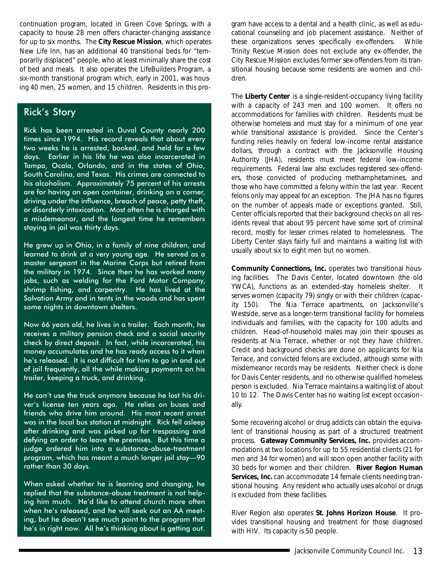continuation program, located in Green Cove Springs, with a capacity to house 28 men offers character-changing assistance for up to six months. The **City Rescue Mission**, which operates New Life Inn, has an additional 40 transitional beds for "temporarily displaced" people, who at least minimally share the cost of bed and meals. It also operates the LifeBuilders Program, a six-month transitional program which, early in 2001, was housing 40 men, 25 women, and 15 children. Residents in this pro-

### Rick's Story

Rick has been arrested in Duval County nearly 200 times since 1994. His record reveals that about every two weeks he is arrested, booked, and held for a few days. Earlier in his life he was also incarcerated in Tampa, Ocala, Orlando, and in the states of Ohio, South Carolina, and Texas. His crimes are connected to his alcoholism. Approximately 75 percent of his arrests are for having an open container, drinking on a corner, driving under the influence, breach of peace, petty theft, or disorderly intoxication. Most often he is charged with a misdemeanor, and the longest time he remembers staying in jail was thirty days.

He grew up in Ohio, in a family of nine children, and learned to drink at a very young age. He served as a master sergeant in the Marine Corps but retired from the military in 1974. Since then he has worked many jobs, such as welding for the Ford Motor Company, shrimp fishing, and carpentry. He has lived at the Salvation Army and in tents in the woods and has spent some nights in downtown shelters.

Now 66 years old, he lives in a trailer. Each month, he receives a military pension check and a social security check by direct deposit. In fact, while incarcerated, his money accumulates and he has ready access to it when he's released. It is not difficult for him to go in and out of jail frequently, all the while making payments on his trailer, keeping a truck, and drinking.

He can't use the truck anymore because he lost his driver's license ten years ago. He relies on buses and friends who drive him around. His most recent arrest was in the local bus station at midnight. Rick fell asleep after drinking and was picked up for trespassing and defying an order to leave the premises. But this time a judge ordered him into a substance-abuse-treatment program, which has meant a much longer jail stay—90 rather than 30 days.

When asked whether he is learning and changing, he replied that the substance-abuse treatment is not helping him much. He'd like to attend church more often when he's released, and he will seek out an AA meeting, but he doesn't see much point to the program that he's in right now. All he's thinking about is getting out.

gram have access to a dental and a health clinic, as well as educational counseling and job placement assistance. Neither of these organizations serves specifically ex-offenders. While Trinity Rescue Mission does not exclude any ex-offender, the City Rescue Mission excludes former sex-offenders from its transitional housing because some residents are women and children.

The **Liberty Center** is a single-resident-occupancy living facility with a capacity of 243 men and 100 women. It offers no accommodations for families with children. Residents must be otherwise homeless and must stay for a minimum of one year while transitional assistance is provided. Since the Center's funding relies heavily on federal low-income rental assistance dollars, through a contract with the Jacksonville Housing Authority (JHA), residents must meet federal low-income requirements. Federal law also excludes registered sex-offenders, those convicted of producing methamphetamines, and those who have committed a felony within the last year. Recent felons only may appeal for an exception. The JHA has no figures on the number of appeals made or exceptions granted. Still, Center officials reported that their background checks on all residents reveal that about 95 percent have some sort of criminal record, mostly for lesser crimes related to homelessness. The Liberty Center stays fairly full and maintains a waiting list with usually about six to eight men but no women.

**Community Connections, Inc.** operates two transitional housing facilities. The Davis Center, located downtown (the old YWCA), functions as an extended-stay homeless shelter. It serves women (capacity 79) singly or with their children (capacity 150). The Nia Terrace apartments, on Jacksonville's Westside, serve as a longer-term transitional facility for homeless individuals and families, with the capacity for 100 adults and children. Head-of-household males may join their spouses as residents at Nia Terrace, whether or not they have children. Credit and background checks are done on applicants for Nia Terrace, and convicted felons are excluded, although some with misdemeanor records may be residents. Neither check is done for Davis Center residents, and no otherwise qualified homeless person is excluded. Nia Terrace maintains a waiting list of about 10 to 12. The Davis Center has no waiting list except occasionally.

Some recovering alcohol or drug addicts can obtain the equivalent of transitional housing as part of a structured treatment process. **Gateway Community Services, Inc.** provides accommodations at two locations for up to 55 residential clients (21 for men and 34 for women) and will soon open another facility with 30 beds for women and their children. **River Region Human Services, Inc.** can accommodate 14 female clients needing transitional housing. Any resident who actually uses alcohol or drugs is excluded from these facilities.

River Region also operates **St. Johns Horizon House**. It provides transitional housing and treatment for those diagnosed with HIV. Its capacity is 50 people.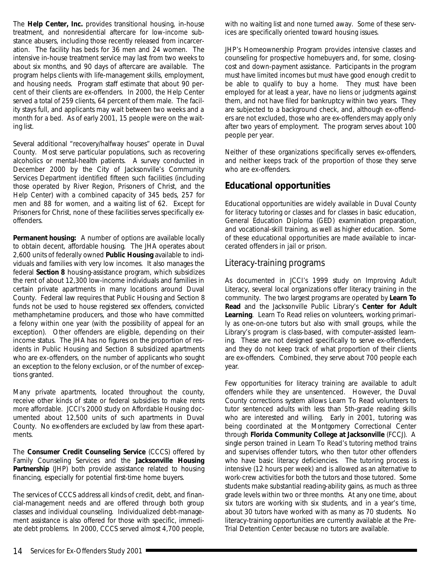<span id="page-36-0"></span>The **Help Center, Inc.** provides transitional housing, in-house treatment, and nonresidential aftercare for low-income substance abusers, including those recently released from incarceration. The facility has beds for 36 men and 24 women. The intensive in-house treatment service may last from two weeks to about six months, and 90 days of aftercare are available. The program helps clients with life-management skills, employment, and housing needs. Program staff estimate that about 90 percent of their clients are ex-offenders. In 2000, the Help Center served a total of 259 clients, 64 percent of them male. The facility stays full, and applicants may wait between two weeks and a month for a bed. As of early 2001, 15 people were on the waiting list.

Several additional "recovery/halfway houses" operate in Duval County. Most serve particular populations, such as recovering alcoholics or mental-health patients. A survey conducted in December 2000 by the City of Jacksonville's Community Services Department identified fifteen such facilities (including those operated by River Region, Prisoners of Christ, and the Help Center) with a combined capacity of 345 beds, 257 for men and 88 for women, and a waiting list of 62. Except for Prisoners for Christ, none of these facilities serves specifically exoffenders.

**Permanent housing:** A number of options are available locally to obtain decent, affordable housing. The JHA operates about 2,600 units of federally owned **Public Housing** available to individuals and families with very low incomes. It also manages the federal **Section 8** housing-assistance program, which subsidizes the rent of about 12,300 low-income individuals and families in certain private apartments in many locations around Duval County. Federal law requires that Public Housing and Section 8 funds not be used to house registered sex offenders, convicted methamphetamine producers, and those who have committed a felony within one year (with the possibility of appeal for an exception). Other offenders are eligible, depending on their income status. The JHA has no figures on the proportion of residents in Public Housing and Section 8 subsidized apartments who are ex-offenders, on the number of applicants who sought an exception to the felony exclusion, or of the number of exceptions granted.

Many private apartments, located throughout the county, receive other kinds of state or federal subsidies to make rents more affordable. JCCI's 2000 study on *Affordable Housing* documented about 12,500 units of such apartments in Duval County. No ex-offenders are excluded by law from these apartments.

The **Consumer Credit Counseling Service** (CCCS) offered by Family Counseling Services and the **Jacksonville Housing Partnership** (JHP) both provide assistance related to housing financing, especially for potential first-time home buyers.

The services of CCCS address all kinds of credit, debt, and financial-management needs and are offered through both group classes and individual counseling. Individualized debt-management assistance is also offered for those with specific, immediate debt problems. In 2000, CCCS served almost 4,700 people,

with no waiting list and none turned away. Some of these services are specifically oriented toward housing issues.

JHP's Homeownership Program provides intensive classes and counseling for prospective homebuyers and, for some, closingcost and down-payment assistance. Participants in the program must have limited incomes but must have good enough credit to be able to qualify to buy a home. They must have been employed for at least a year, have no liens or judgments against them, and not have filed for bankruptcy within two years. They are subjected to a background check, and, although ex-offenders are not excluded, those who are ex-offenders may apply only after two years of employment. The program serves about 100 people per year.

Neither of these organizations specifically serves ex-offenders, and neither keeps track of the proportion of those they serve who are ex-offenders.

### **Educational opportunities**

Educational opportunities are widely available in Duval County for literacy tutoring or classes and for classes in basic education, General Education Diploma (GED) examination preparation, and vocational-skill training, as well as higher education. Some of these educational opportunities are made available to incarcerated offenders in jail or prison.

### *Literacy-training programs*

As documented in JCCI's 1999 study on *Improving Adult Literacy*, several local organizations offer literacy training in the community. The two largest programs are operated by **Learn To Read** and the Jacksonville Public Library's **Center for Adult Learning**. Learn To Read relies on volunteers, working primarily as one-on-one tutors but also with small groups, while the Library's program is class-based, with computer-assisted learning. These are not designed specifically to serve ex-offenders, and they do not keep track of what proportion of their clients are ex-offenders. Combined, they serve about 700 people each year.

Few opportunities for literacy training are available to adult offenders while they are unsentenced. However, the Duval County corrections system allows Learn To Read volunteers to tutor sentenced adults with less than 5th-grade reading skills who are interested and willing. Early in 2001, tutoring was being coordinated at the Montgomery Correctional Center through **Florida Community College at Jacksonville** (FCCJ). A single person trained in Learn To Read's tutoring method trains and supervises offender tutors, who then tutor other offenders who have basic literacy deficiencies. The tutoring process is intensive (12 hours per week) and is allowed as an alternative to work-crew activities for both the tutors and those tutored. Some students make substantial reading-ability gains, as much as three grade levels within two or three months. At any one time, about six tutors are working with six students, and in a year's time, about 30 tutors have worked with as many as 70 students. No literacy-training opportunities are currently available at the Pre-Trial Detention Center because no tutors are available.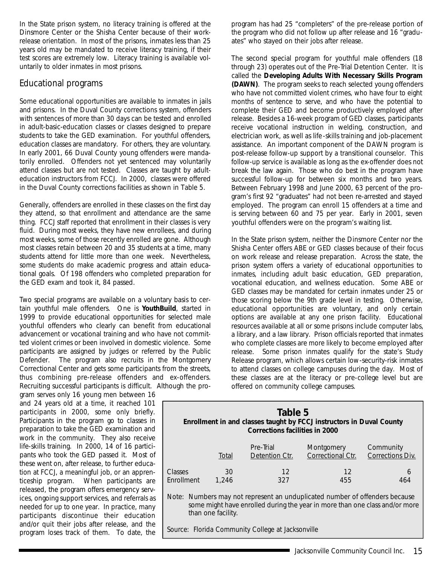<span id="page-37-0"></span>In the State prison system, no literacy training is offered at the Dinsmore Center or the Shisha Center because of their workrelease orientation. In most of the prisons, inmates less than 25 years old may be mandated to receive literacy training, if their test scores are extremely low. Literacy training is available voluntarily to older inmates in most prisons.

### *Educational programs*

Some educational opportunities are available to inmates in jails and prisons. In the Duval County corrections system, offenders with sentences of more than 30 days can be tested and enrolled in adult-basic-education classes or classes designed to prepare students to take the GED examination. For youthful offenders, education classes are mandatory. For others, they are voluntary. In early 2001, 66 Duval County young offenders were mandatorily enrolled. Offenders not yet sentenced may voluntarily attend classes but are not tested. Classes are taught by adulteducation instructors from FCCJ. In 2000, classes were offered in the Duval County corrections facilities as shown in Table 5.

Generally, offenders are enrolled in these classes on the first day they attend, so that enrollment and attendance are the same thing. FCCJ staff reported that enrollment in their classes is very fluid. During most weeks, they have new enrollees, and during most weeks, some of those recently enrolled are gone. Although most classes retain between 20 and 35 students at a time, many students attend for little more than one week. Nevertheless, some students do make academic progress and attain educational goals. Of 198 offenders who completed preparation for the GED exam and took it, 84 passed.

Two special programs are available on a voluntary basis to certain youthful male offenders. One is **YouthBuild**, started in 1999 to provide educational opportunities for selected male youthful offenders who clearly can benefit from educational advancement or vocational training and who have not committed violent crimes or been involved in domestic violence. Some participants are assigned by judges or referred by the Public Defender. The program also recruits in the Montgomery Correctional Center and gets some participants from the streets, thus combining pre-release offenders and ex-offenders. Recruiting successful participants is difficult. Although the pro-

gram serves only 16 young men between 16 and 24 years old at a time, it reached 101 participants in 2000, some only briefly. Participants in the program go to classes in preparation to take the GED examination and work in the community. They also receive life-skills training. In 2000, 14 of 16 participants who took the GED passed it. Most of these went on, after release, to further education at FCCJ, a meaningful job, or an apprenticeship program. When participants are released, the program offers emergency services, ongoing support services, and referrals as needed for up to one year. In practice, many participants discontinue their education and/or quit their jobs after release, and the program loses track of them. To date, the

program has had 25 "completers" of the pre-release portion of the program who did not follow up after release and 16 "graduates" who stayed on their jobs after release.

The second special program for youthful male offenders (18 through 23) operates out of the Pre-Trial Detention Center. It is called the **Developing Adults With Necessary Skills Program (DAWN)**. The program seeks to reach selected young offenders who have not committed violent crimes, who have four to eight months of sentence to serve, and who have the potential to complete their GED and become productively employed after release. Besides a 16-week program of GED classes, participants receive vocational instruction in welding, construction, and electrician work, as well as life-skills training and job-placement assistance. An important component of the DAWN program is post-release follow-up support by a transitional counselor. This follow-up service is available as long as the ex-offender does not break the law again. Those who do best in the program have successful follow-up for between six months and two years. Between February 1998 and June 2000, 63 percent of the program's first 92 "graduates" had not been re-arrested and stayed employed. The program can enroll 15 offenders at a time and is serving between 60 and 75 per year. Early in 2001, seven youthful offenders were on the program's waiting list.

In the State prison system, neither the Dinsmore Center nor the Shisha Center offers ABE or GED classes because of their focus on work release and release preparation. Across the state, the prison system offers a variety of educational opportunities to inmates, including adult basic education, GED preparation, vocational education, and wellness education. Some ABE or GED classes may be mandated for certain inmates under 25 or those scoring below the 9th grade level in testing. Otherwise, educational opportunities are voluntary, and only certain options are available at any one prison facility. Educational resources available at all or some prisons include computer labs, a library, and a law library. Prison officials reported that inmates who complete classes are more likely to become employed after release. Some prison inmates qualify for the state's Study Release program, which allows certain low-security-risk inmates to attend classes on college campuses during the day. Most of these classes are at the literacy or pre-college level but are offered on community college campuses.

| Table 5<br>Enrollment in and classes taught by FCCJ instructors in Duval County<br><b>Corrections facilities in 2000</b> |             |                             |                                 |                               |
|--------------------------------------------------------------------------------------------------------------------------|-------------|-----------------------------|---------------------------------|-------------------------------|
|                                                                                                                          | Total       | Pre-Trial<br>Detention Ctr. | Montgomery<br>Correctional Ctr. | Community<br>Corrections Div. |
| Classes<br>Enrollment                                                                                                    | 30<br>1.246 | 12<br>327                   | 12<br>455                       | 6<br>464                      |

Note: Numbers may not represent an unduplicated number of offenders because some might have enrolled during the year in more than one class and/or more than one facility.

*Source: Florida Community College at Jacksonville*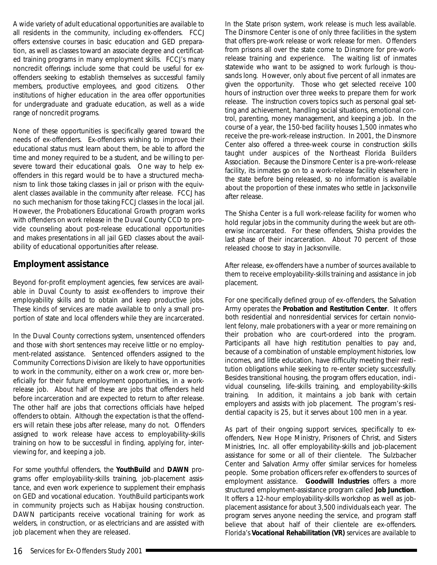<span id="page-38-0"></span>A wide variety of adult educational opportunities are available to all residents in the community, including ex-offenders. FCCJ offers extensive courses in basic education and GED preparation, as well as classes toward an associate degree and certificated training programs in many employment skills. FCCJ's many noncredit offerings include some that could be useful for exoffenders seeking to establish themselves as successful family members, productive employees, and good citizens. Other institutions of higher education in the area offer opportunities for undergraduate and graduate education, as well as a wide range of noncredit programs.

None of these opportunities is specifically geared toward the needs of ex-offenders. Ex-offenders wishing to improve their educational status must learn about them, be able to afford the time and money required to be a student, and be willing to persevere toward their educational goals. One way to help exoffenders in this regard would be to have a structured mechanism to link those taking classes in jail or prison with the equivalent classes available in the community after release. FCCJ has no such mechanism for those taking FCCJ classes in the local jail. However, the Probationers Educational Growth program works with offenders on work release in the Duval County CCD to provide counseling about post-release educational opportunities and makes presentations in all jail GED classes about the availability of educational opportunities after release.

### **Employment assistance**

Beyond for-profit employment agencies, few services are available in Duval County to assist ex-offenders to improve their employability skills and to obtain and keep productive jobs. These kinds of services are made available to only a small proportion of state and local offenders while they are incarcerated.

In the Duval County corrections system, unsentenced offenders and those with short sentences may receive little or no employment-related assistance. Sentenced offenders assigned to the Community Corrections Division are likely to have opportunities to work in the community, either on a work crew or, more beneficially for their future employment opportunities, in a workrelease job. About half of these are jobs that offenders held before incarceration and are expected to return to after release. The other half are jobs that corrections officials have helped offenders to obtain. Although the expectation is that the offenders will retain these jobs after release, many do not. Offenders assigned to work release have access to employability-skills training on how to be successful in finding, applying for, interviewing for, and keeping a job.

For some youthful offenders, the **YouthBuild** and **DAWN** programs offer employability-skills training, job-placement assistance, and even work experience to supplement their emphasis on GED and vocational education. YouthBuild participants work in community projects such as Habijax housing construction. DAWN participants receive vocational training for work as welders, in construction, or as electricians and are assisted with job placement when they are released.

In the State prison system, work release is much less available. The Dinsmore Center is one of only three facilities in the system that offers pre-work release or work release for men. Offenders from prisons all over the state come to Dinsmore for pre-workrelease training and experience. The waiting list of inmates statewide who want to be assigned to work furlough is thousands long. However, only about five percent of all inmates are given the opportunity. Those who get selected receive 100 hours of instruction over three weeks to prepare them for work release. The instruction covers topics such as personal goal setting and achievement, handling social situations, emotional control, parenting, money management, and keeping a job. In the course of a year, the 150-bed facility houses 1,500 inmates who receive the pre-work-release instruction. In 2001, the Dinsmore Center also offered a three-week course in construction skills taught under auspices of the Northeast Florida Builders Association. Because the Dinsmore Center is a pre-work-release facility, its inmates go on to a work-release facility elsewhere in the state before being released, so no information is available about the proportion of these inmates who settle in Jacksonville after release.

The Shisha Center is a full work-release facility for women who hold regular jobs in the community during the week but are otherwise incarcerated. For these offenders, Shisha provides the last phase of their incarceration. About 70 percent of those released choose to stay in Jacksonville.

After release, ex-offenders have a number of sources available to them to receive employability-skills training and assistance in job placement.

For one specifically defined group of ex-offenders, the Salvation Army operates the **Probation and Restitution Center**. It offers both residential and nonresidential services for certain nonviolent felony, male probationers with a year or more remaining on their probation who are court-ordered into the program. Participants all have high restitution penalties to pay and, because of a combination of unstable employment histories, low incomes, and little education, have difficulty meeting their restitution obligations while seeking to re-enter society successfully. Besides transitional housing, the program offers education, individual counseling, life-skills training, and employability-skills training. In addition, it maintains a job bank with certain employers and assists with job placement. The program's residential capacity is 25, but it serves about 100 men in a year.

As part of their ongoing support services, specifically to exoffenders, New Hope Ministry, Prisoners of Christ, and Sisters Ministries, Inc. all offer employability-skills and job-placement assistance for some or all of their clientele. The Sulzbacher Center and Salvation Army offer similar services for homeless people. Some probation officers refer ex-offenders to sources of employment assistance. **Goodwill Industries** offers a more structured employment-assistance program called **Job Junction**. It offers a 12-hour employability-skills workshop as well as jobplacement assistance for about 3,500 individuals each year. The program serves anyone needing the service, and program staff believe that about half of their clientele are ex-offenders. Florida's **Vocational Rehabilitation (VR)** services are available to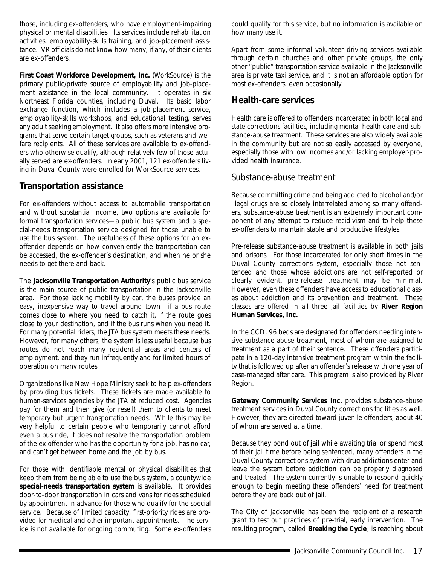<span id="page-39-0"></span>those, including ex-offenders, who have employment-impairing physical or mental disabilities. Its services include rehabilitation activities, employability-skills training, and job-placement assistance. VR officials do not know how many, if any, of their clients are ex-offenders.

**First Coast Workforce Development, Inc.** (*WorkSource*) is the primary public/private source of employability and job-placement assistance in the local community. It operates in six Northeast Florida counties, including Duval. Its basic labor exchange function, which includes a job-placement service, employability-skills workshops, and educational testing, serves any adult seeking employment. It also offers more intensive programs that serve certain target groups, such as veterans and welfare recipients. All of these services are available to ex-offenders who otherwise qualify, although relatively few of those actually served are ex-offenders. In early 2001, 121 ex-offenders living in Duval County were enrolled for WorkSource services.

### **Transportation assistance**

For ex-offenders without access to automobile transportation and without substantial income, two options are available for formal transportation services—a public bus system and a special-needs transportation service designed for those unable to use the bus system. The usefulness of these options for an exoffender depends on how conveniently the transportation can be accessed, the ex-offender's destination, and when he or she needs to get there and back.

The **Jacksonville Transportation Authority**'s public bus service is the main source of public transportation in the Jacksonville area. For those lacking mobility by car, the buses provide an easy, inexpensive way to travel around town—if a bus route comes close to where you need to catch it, if the route goes close to your destination, and if the bus runs when you need it. For many potential riders, the JTA bus system meets these needs. However, for many others, the system is less useful because bus routes do not reach many residential areas and centers of employment, and they run infrequently and for limited hours of operation on many routes.

Organizations like New Hope Ministry seek to help ex-offenders by providing bus tickets. These tickets are made available to human-services agencies by the JTA at reduced cost. Agencies pay for them and then give (or resell) them to clients to meet temporary but urgent transportation needs. While this may be very helpful to certain people who temporarily cannot afford even a bus ride, it does not resolve the transportation problem of the ex-offender who has the opportunity for a job, has no car, and can't get between home and the job by bus.

For those with identifiable mental or physical disabilities that keep them from being able to use the bus system, a countywide **special-needs transportation system** is available. It provides door-to-door transportation in cars and vans for rides scheduled by appointment in advance for those who qualify for the special service. Because of limited capacity, first-priority rides are provided for medical and other important appointments. The service is not available for ongoing commuting. Some ex-offenders could qualify for this service, but no information is available on how many use it.

Apart from some informal volunteer driving services available through certain churches and other private groups, the only other "public" transportation service available in the Jacksonville area is private taxi service, and it is not an affordable option for most ex-offenders, even occasionally.

### **Health-care services**

Health care is offered to offenders incarcerated in both local and state corrections facilities, including mental-health care and substance-abuse treatment. These services are also widely available in the community but are not so easily accessed by everyone, especially those with low incomes and/or lacking employer-provided health insurance.

### *Substance-abuse treatment*

Because committing crime and being addicted to alcohol and/or illegal drugs are so closely interrelated among so many offenders, substance-abuse treatment is an extremely important component of any attempt to reduce recidivism and to help these ex-offenders to maintain stable and productive lifestyles.

Pre-release substance-abuse treatment is available in both jails and prisons. For those incarcerated for only short times in the Duval County corrections system, especially those not sentenced and those whose addictions are not self-reported or clearly evident, pre-release treatment may be minimal. However, even these offenders have access to educational classes about addiction and its prevention and treatment. These classes are offered in all three jail facilities by **River Region Human Services, Inc.**

In the CCD, 96 beds are designated for offenders needing intensive substance-abuse treatment, most of whom are assigned to treatment as a part of their sentence. These offenders participate in a 120-day intensive treatment program within the facility that is followed up after an offender's release with one year of case-managed after care. This program is also provided by River Region.

**Gateway Community Services Inc.** provides substance-abuse treatment services in Duval County corrections facilities as well. However, they are directed toward juvenile offenders, about 40 of whom are served at a time.

Because they bond out of jail while awaiting trial or spend most of their jail time before being sentenced, many offenders in the Duval County corrections system with drug addictions enter and leave the system before addiction can be properly diagnosed and treated. The system currently is unable to respond quickly enough to begin meeting these offenders' need for treatment before they are back out of jail.

The City of Jacksonville has been the recipient of a research grant to test out practices of pre-trial, early intervention. The resulting program, called **Breaking the Cycle**, is reaching about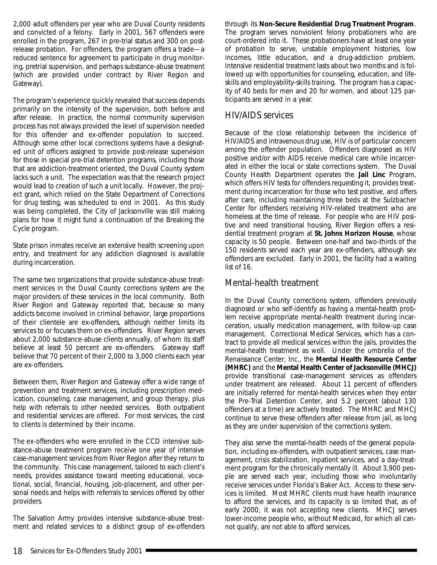<span id="page-40-0"></span>2,000 adult offenders per year who are Duval County residents and convicted of a felony. Early in 2001, 567 offenders were enrolled in the program, 267 in pre-trial status and 300 on postrelease probation. For offenders, the program offers a trade—a reduced sentence for agreement to participate in drug monitoring, pretrial supervision, and perhaps substance-abuse treatment (which are provided under contract by River Region and Gateway).

The program's experience quickly revealed that success depends primarily on the intensity of the supervision, both before and after release. In practice, the normal community supervision process has not always provided the level of supervision needed for this offender and ex-offender population to succeed. Although some other local corrections systems have a designated unit of officers assigned to provide post-release supervision for those in special pre-trial detention programs, including those that are addiction-treatment oriented, the Duval County system lacks such a unit. The expectation was that the research project would lead to creation of such a unit locally. However, the project grant, which relied on the State Department of Corrections for drug testing, was scheduled to end in 2001. As this study was being completed, the City of Jacksonville was still making plans for how it might fund a continuation of the Breaking the Cycle program.

State prison inmates receive an extensive health screening upon entry, and treatment for any addiction diagnosed is available during incarceration.

The same two organizations that provide substance-abuse treatment services in the Duval County corrections system are the major providers of these services in the local community. Both River Region and Gateway reported that, because so many addicts become involved in criminal behavior, large proportions of their clientele are ex-offenders, although neither limits its services to or focuses them on ex-offenders. River Region serves about 2,000 substance-abuse clients annually, of whom its staff believe at least 50 percent are ex-offenders. Gateway staff believe that 70 percent of their 2,000 to 3,000 clients each year are ex-offenders.

Between them, River Region and Gateway offer a wide range of prevention and treatment services, including prescription medication, counseling, case management, and group therapy, plus help with referrals to other needed services. Both outpatient and residential services are offered. For most services, the cost to clients is determined by their income.

The ex-offenders who were enrolled in the CCD intensive substance-abuse treatment program receive one year of intensive case-management services from River Region after they return to the community. This case management, tailored to each client's needs, provides assistance toward meeting educational, vocational, social, financial, housing, job-placement, and other personal needs and helps with referrals to services offered by other providers.

The Salvation Army provides intensive substance-abuse treatment and related services to a distinct group of ex-offenders through its **Non-Secure Residential Drug Treatment Program**. The program serves nonviolent felony probationers who are court-ordered into it. These probationers have at least one year of probation to serve, unstable employment histories, low incomes, little education, and a drug-addiction problem. Intensive residential treatment lasts about two months and is followed up with opportunities for counseling, education, and lifeskills and employability-skills training. The program has a capacity of 40 beds for men and 20 for women, and about 125 participants are served in a year.

### *HIV/AIDS services*

Because of the close relationship between the incidence of HIV/AIDS and intravenous drug use, HIV is of particular concern among the offender population. Offenders diagnosed as HIV positive and/or with AIDS receive medical care while incarcerated in either the local or state corrections system. The Duval County Health Department operates the **Jail Linc** Program, which offers HIV tests for offenders requesting it, provides treatment during incarceration for those who test positive, and offers after care, including maintaining three beds at the Sulzbacher Center for offenders receiving HIV-related treatment who are homeless at the time of release. For people who are HIV positive and need transitional housing, River Region offers a residential treatment program at **St. Johns Horizon House**, whose capacity is 50 people. Between one-half and two-thirds of the 150 residents served each year are ex-offenders, although sex offenders are excluded. Early in 2001, the facility had a waiting list of 16.

### *Mental-health treatment*

In the Duval County corrections system, offenders previously diagnosed or who self-identify as having a mental-health problem receive appropriate mental-health treatment during incarceration, usually medication management, with follow-up case management. Correctional Medical Services, which has a contract to provide all medical services within the jails, provides the mental-health treatment as well. Under the umbrella of the Renaissance Center, Inc., the **Mental Health Resource Center (MHRC)** and the **Mental Health Center of Jacksonville (MHCJ)** provide transitional case-management services as offenders under treatment are released. About 11 percent of offenders are initially referred for mental-health services when they enter the Pre-Trial Detention Center, and 5.2 percent (about 130 offenders at a time) are actively treated. The MHRC and MHCJ continue to serve these offenders after release from jail, as long as they are under supervision of the corrections system.

They also serve the mental-health needs of the general population, including ex-offenders, with outpatient services, case management, crisis stabilization, inpatient services, and a day-treatment program for the chronically mentally ill. About 3,900 people are served each year, including those who involuntarily receive services under Florida's Baker Act. Access to these services is limited. Most MHRC clients must have health insurance to afford the services, and its capacity is so limited that, as of early 2000, it was not accepting new clients. MHCJ serves lower-income people who, without Medicaid, for which all cannot qualify, are not able to afford services.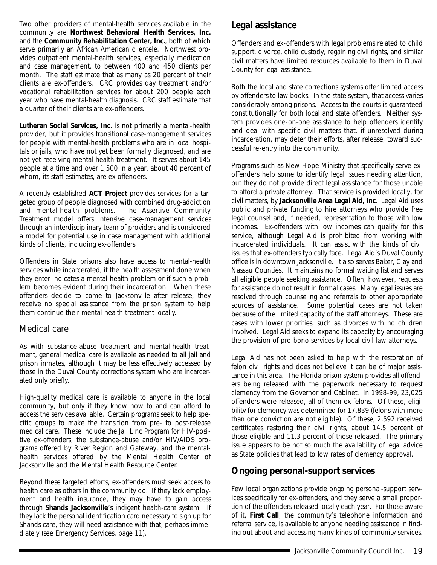<span id="page-41-0"></span>Two other providers of mental-health services available in the community are **Northwest Behavioral Health Services, Inc.** and the **Community Rehabilitation Center, Inc.**, both of which serve primarily an African American clientele. Northwest provides outpatient mental-health services, especially medication and case management, to between 400 and 450 clients per month. The staff estimate that as many as 20 percent of their clients are ex-offenders. CRC provides day treatment and/or vocational rehabilitation services for about 200 people each year who have mental-health diagnosis. CRC staff estimate that a quarter of their clients are ex-offenders.

**Lutheran Social Services, Inc.** is not primarily a mental-health provider, but it provides transitional case-management services for people with mental-health problems who are in local hospitals or jails, who have not yet been formally diagnosed, and are not yet receiving mental-health treatment. It serves about 145 people at a time and over 1,500 in a year, about 40 percent of whom, its staff estimates, are ex-offenders.

A recently established **ACT Project** provides services for a targeted group of people diagnosed with combined drug-addiction and mental-health problems. The Assertive Community Treatment model offers intensive case-management services through an interdisciplinary team of providers and is considered a model for potential use in case management with additional kinds of clients, including ex-offenders.

Offenders in State prisons also have access to mental-health services while incarcerated, if the health assessment done when they enter indicates a mental-health problem or if such a problem becomes evident during their incarceration. When these offenders decide to come to Jacksonville after release, they receive no special assistance from the prison system to help them continue their mental-health treatment locally.

### *Medical care*

As with substance-abuse treatment and mental-health treatment, general medical care is available as needed to all jail and prison inmates, although it may be less effectively accessed by those in the Duval County corrections system who are incarcerated only briefly.

High-quality medical care is available to anyone in the local community, but only if they know how to and can afford to access the services available. Certain programs seek to help specific groups to make the transition from pre- to post-release medical care. These include the Jail Linc Program for HIV-positive ex-offenders, the substance-abuse and/or HIV/AIDS programs offered by River Region and Gateway, and the mentalhealth services offered by the Mental Health Center of Jacksonville and the Mental Health Resource Center.

Beyond these targeted efforts, ex-offenders must seek access to health care as others in the community do. If they lack employment and health insurance, they may have to gain access through **Shands Jacksonville**'s indigent health-care system. If they lack the personal identification card necessary to sign up for Shands care, they will need assistance with that, perhaps immediately (see Emergency Services, page 11).

### **Legal assistance**

Offenders and ex-offenders with legal problems related to child support, divorce, child custody, regaining civil rights, and similar civil matters have limited resources available to them in Duval County for legal assistance.

Both the local and state corrections systems offer limited access by offenders to law books. In the state system, that access varies considerably among prisons. Access to the courts is guaranteed constitutionally for both local and state offenders. Neither system provides one-on-one assistance to help offenders identify and deal with specific civil matters that, if unresolved during incarceration, may deter their efforts, after release, toward successful re-entry into the community.

Programs such as New Hope Ministry that specifically serve exoffenders help some to identify legal issues needing attention, but they do not provide direct legal assistance for those unable to afford a private attorney. That service is provided locally, for civil matters, by **Jacksonville Area Legal Aid, Inc.** Legal Aid uses public and private funding to hire attorneys who provide free legal counsel and, if needed, representation to those with low incomes. Ex-offenders with low incomes can qualify for this service, although Legal Aid is prohibited from working with incarcerated individuals. It can assist with the kinds of civil issues that ex-offenders typically face. Legal Aid's Duval County office is in downtown Jacksonville. It also serves Baker, Clay and Nassau Counties. It maintains no formal waiting list and serves all eligible people seeking assistance. Often, however, requests for assistance do not result in formal cases. Many legal issues are resolved through counseling and referrals to other appropriate sources of assistance. Some potential cases are not taken because of the limited capacity of the staff attorneys. These are cases with lower priorities, such as divorces with no children involved. Legal Aid seeks to expand its capacity by encouraging the provision of pro-bono services by local civil-law attorneys.

Legal Aid has not been asked to help with the restoration of felon civil rights and does not believe it can be of major assistance in this area. The Florida prison system provides all offenders being released with the paperwork necessary to request clemency from the Governor and Cabinet. In 1998-99, 23,025 offenders were released, all of them ex-felons. Of these, eligibility for clemency was determined for 17,839 (felons with more than one conviction are not eligible). Of these, 2,592 received certificates restoring their civil rights, about 14.5 percent of those eligible and 11.3 percent of those released. The primary issue appears to be not so much the availability of legal advice as State policies that lead to low rates of clemency approval.

### **Ongoing personal-support services**

Few local organizations provide ongoing personal-support services specifically for ex-offenders, and they serve a small proportion of the offenders released locally each year. For those aware of it, **First Call**, the community's telephone information and referral service, is available to anyone needing assistance in finding out about and accessing many kinds of community services.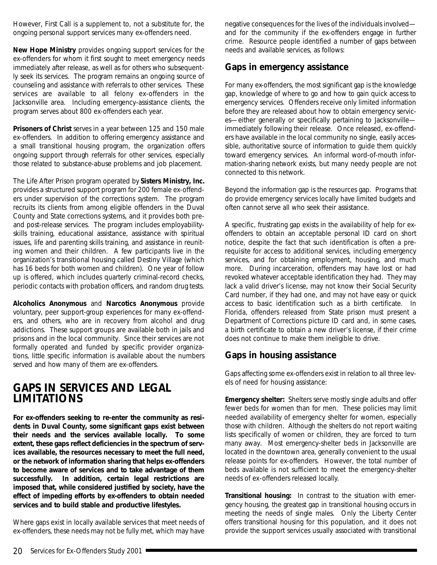<span id="page-42-0"></span>However, First Call is a supplement to, not a substitute for, the ongoing personal support services many ex-offenders need.

**New Hope Ministry** provides ongoing support services for the ex-offenders for whom it first sought to meet emergency needs immediately after release, as well as for others who subsequently seek its services. The program remains an ongoing source of counseling and assistance with referrals to other services. These services are available to all felony ex-offenders in the Jacksonville area. Including emergency-assistance clients, the program serves about 800 ex-offenders each year.

**Prisoners of Christ** serves in a year between 125 and 150 male ex-offenders. In addition to offering emergency assistance and a small transitional housing program, the organization offers ongoing support through referrals for other services, especially those related to substance-abuse problems and job placement.

The Life After Prison program operated by **Sisters Ministry, Inc.** provides a structured support program for 200 female ex-offenders under supervision of the corrections system. The program recruits its clients from among eligible offenders in the Duval County and State corrections systems, and it provides both preand post-release services. The program includes employabilityskills training, educational assistance, assistance with spiritual issues, life and parenting skills training, and assistance in reuniting women and their children. A few participants live in the organization's transitional housing called Destiny Village (which has 16 beds for both women and children). One year of follow up is offered, which includes quarterly criminal-record checks, periodic contacts with probation officers, and random drug tests.

**Alcoholics Anonymous** and **Narcotics Anonymous** provide voluntary, peer support-group experiences for many ex-offenders, and others, who are in recovery from alcohol and drug addictions. These support groups are available both in jails and prisons and in the local community. Since their services are not formally operated and funded by specific provider organizations, little specific information is available about the numbers served and how many of them are ex-offenders.

### **GAPS IN SERVICES AND LEGAL LIMITATIONS**

**For ex-offenders seeking to re-enter the community as residents in Duval County, some significant gaps exist between their needs and the services available locally. To some extent, these gaps reflect deficiencies in the spectrum of services available, the resources necessary to meet the full need, or the network of information sharing that helps ex-offenders to become aware of services and to take advantage of them** successfully. In addition, certain legal restrictions are **imposed that, while considered justified by society, have the effect of impeding efforts by ex-offenders to obtain needed services and to build stable and productive lifestyles.**

Where gaps exist in locally available services that meet needs of ex-offenders, these needs may not be fully met, which may have

negative consequences for the lives of the individuals involved and for the community if the ex-offenders engage in further crime. Resource people identified a number of gaps between needs and available services, as follows:

### **Gaps in emergency assistance**

For many ex-offenders, the most significant gap is the knowledge gap, knowledge of where to go and how to gain quick access to emergency services. Offenders receive only limited information before they are released about how to obtain emergency services—either generally or specifically pertaining to Jacksonville immediately following their release. Once released, ex-offenders have available in the local community no single, easily accessible, authoritative source of information to guide them quickly toward emergency services. An informal word-of-mouth information-sharing network exists, but many needy people are not connected to this network.

Beyond the information gap is the resources gap. Programs that do provide emergency services locally have limited budgets and often cannot serve all who seek their assistance.

A specific, frustrating gap exists in the availability of help for exoffenders to obtain an acceptable personal ID card on short notice, despite the fact that such identification is often a prerequisite for access to additional services, including emergency services, and for obtaining employment, housing, and much more. During incarceration, offenders may have lost or had revoked whatever acceptable identification they had. They may lack a valid driver's license, may not know their Social Security Card number, if they had one, and may not have easy or quick access to basic identification such as a birth certificate. In Florida, offenders released from State prison must present a Department of Corrections picture ID card and, in some cases, a birth certificate to obtain a new driver's license, if their crime does not continue to make them ineligible to drive.

### **Gaps in housing assistance**

Gaps affecting some ex-offenders exist in relation to all three levels of need for housing assistance:

**Emergency shelter:** Shelters serve mostly single adults and offer fewer beds for women than for men. These policies may limit needed availability of emergency shelter for women, especially those with children. Although the shelters do not report waiting lists specifically of women or children, they are forced to turn many away. Most emergency-shelter beds in Jacksonville are located in the downtown area, generally convenient to the usual release points for ex-offenders. However, the total number of beds available is not sufficient to meet the emergency-shelter needs of ex-offenders released locally.

**Transitional housing:** In contrast to the situation with emergency housing, the greatest gap in transitional housing occurs in meeting the needs of single males. Only the Liberty Center offers transitional housing for this population, and it does not provide the support services usually associated with transitional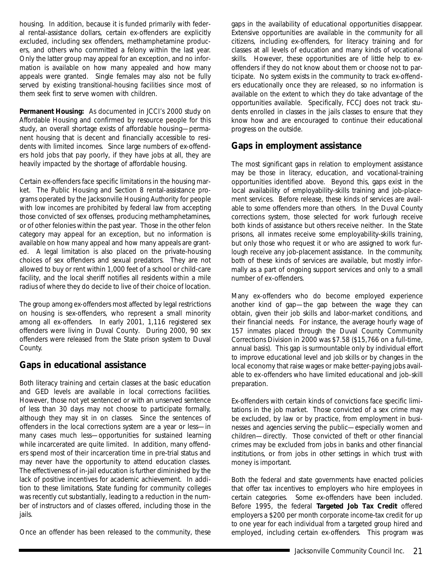<span id="page-43-0"></span>housing. In addition, because it is funded primarily with federal rental-assistance dollars, certain ex-offenders are explicitly excluded, including sex offenders, methamphetamine producers, and others who committed a felony within the last year. Only the latter group may appeal for an exception, and no information is available on how many appealed and how many appeals were granted. Single females may also not be fully served by existing transitional-housing facilities since most of them seek first to serve women with children.

**Permanent Housing:** As documented in JCCI's 2000 study on *Affordable Housing* and confirmed by resource people for this study, an overall shortage exists of affordable housing—permanent housing that is decent and financially accessible to residents with limited incomes. Since large numbers of ex-offenders hold jobs that pay poorly, if they have jobs at all, they are heavily impacted by the shortage of affordable housing.

Certain ex-offenders face specific limitations in the housing market. The Public Housing and Section 8 rental-assistance programs operated by the Jacksonville Housing Authority for people with low incomes are prohibited by federal law from accepting those convicted of sex offenses, producing methamphetamines, or of other felonies within the past year. Those in the other felon category may appeal for an exception, but no information is available on how many appeal and how many appeals are granted. A legal limitation is also placed on the private-housing choices of sex offenders and sexual predators. They are not allowed to buy or rent within 1,000 feet of a school or child-care facility, and the local sheriff notifies all residents within a mile radius of where they do decide to live of their choice of location.

The group among ex-offenders most affected by legal restrictions on housing is sex-offenders, who represent a small minority among all ex-offenders. In early 2001, 1,116 registered sex offenders were living in Duval County. During 2000, 90 sex offenders were released from the State prison system to Duval County.

### **Gaps in educational assistance**

Both literacy training and certain classes at the basic education and GED levels are available in local corrections facilities. However, those not yet sentenced or with an unserved sentence of less than 30 days may not choose to participate formally, although they may sit in on classes. Since the sentences of offenders in the local corrections system are a year or less—in many cases much less—opportunities for sustained learning while incarcerated are quite limited. In addition, many offenders spend most of their incarceration time in pre-trial status and may never have the opportunity to attend education classes. The effectiveness of in-jail education is further diminished by the lack of positive incentives for academic achievement. In addition to these limitations, State funding for community colleges was recently cut substantially, leading to a reduction in the number of instructors and of classes offered, including those in the jails.

Once an offender has been released to the community, these

gaps in the availability of educational opportunities disappear. Extensive opportunities are available in the community for all citizens, including ex-offenders, for literacy training and for classes at all levels of education and many kinds of vocational skills. However, these opportunities are of little help to exoffenders if they do not know about them or choose not to participate. No system exists in the community to track ex-offenders educationally once they are released, so no information is available on the extent to which they do take advantage of the opportunities available. Specifically, FCCJ does not track students enrolled in classes in the jails classes to ensure that they know how and are encouraged to continue their educational progress on the outside.

### **Gaps in employment assistance**

The most significant gaps in relation to employment assistance may be those in literacy, education, and vocational-training opportunities identified above. Beyond this, gaps exist in the local availability of employability-skills training and job-placement services. Before release, these kinds of services are available to some offenders more than others. In the Duval County corrections system, those selected for work furlough receive both kinds of assistance but others receive neither. In the State prisons, all inmates receive some employability-skills training, but only those who request it or who are assigned to work furlough receive any job-placement assistance. In the community, both of these kinds of services are available, but mostly informally as a part of ongoing support services and only to a small number of ex-offenders.

Many ex-offenders who do become employed experience another kind of gap—the gap between the wage they can obtain, given their job skills and labor-market conditions, and their financial needs. For instance, the average hourly wage of 157 inmates placed through the Duval County Community Corrections Division in 2000 was \$7.58 (\$15,766 on a full-time, annual basis). This gap is surmountable only by individual effort to improve educational level and job skills or by changes in the local economy that raise wages or make better-paying jobs available to ex-offenders who have limited educational and job-skill preparation.

Ex-offenders with certain kinds of convictions face specific limitations in the job market. Those convicted of a sex crime may be excluded, by law or by practice, from employment in businesses and agencies serving the public—especially women and children—directly. Those convicted of theft or other financial crimes may be excluded from jobs in banks and other financial institutions, or from jobs in other settings in which trust with money is important.

Both the federal and state governments have enacted policies that offer tax incentives to employers who hire employees in certain categories. Some ex-offenders have been included. Before 1995, the federal **Targeted Job Tax Credit** offered employers a \$200 per month corporate income-tax credit for up to one year for each individual from a targeted group hired and employed, including certain ex-offenders. This program was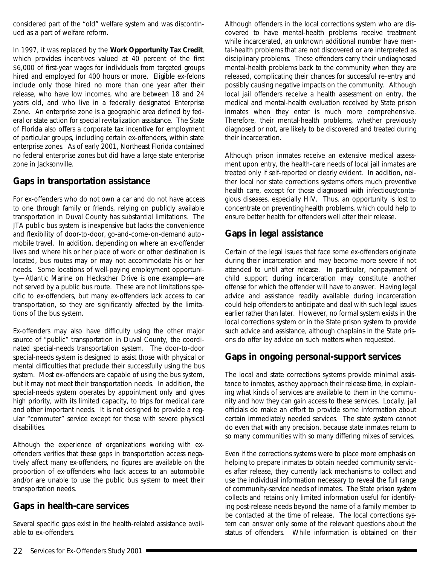<span id="page-44-0"></span>considered part of the "old" welfare system and was discontinued as a part of welfare reform.

In 1997, it was replaced by the **Work Opportunity Tax Credit**, which provides incentives valued at 40 percent of the first \$6,000 of first-year wages for individuals from targeted groups hired and employed for 400 hours or more. Eligible ex-felons include only those hired no more than one year after their release, who have low incomes, who are between 18 and 24 years old, and who live in a federally designated Enterprise Zone. An enterprise zone is a geographic area defined by federal or state action for special revitalization assistance. The State of Florida also offers a corporate tax incentive for employment of particular groups, including certain ex-offenders, within state enterprise zones. As of early 2001, Northeast Florida contained no federal enterprise zones but did have a large state enterprise zone in Jacksonville.

### **Gaps in transportation assistance**

For ex-offenders who do not own a car and do not have access to one through family or friends, relying on publicly available transportation in Duval County has substantial limitations. The JTA public bus system is inexpensive but lacks the convenience and flexibility of door-to-door, go-and-come-on-demand automobile travel. In addition, depending on where an ex-offender lives and where his or her place of work or other destination is located, bus routes may or may not accommodate his or her needs. Some locations of well-paying employment opportunity—Atlantic Marine on Heckscher Drive is one example—are not served by a public bus route. These are not limitations specific to ex-offenders, but many ex-offenders lack access to car transportation, so they are significantly affected by the limitations of the bus system.

Ex-offenders may also have difficulty using the other major source of "public" transportation in Duval County, the coordinated special-needs transportation system. The door-to-door special-needs system is designed to assist those with physical or mental difficulties that preclude their successfully using the bus system. Most ex-offenders are capable of using the bus system, but it may not meet their transportation needs. In addition, the special-needs system operates by appointment only and gives high priority, with its limited capacity, to trips for medical care and other important needs. It is not designed to provide a regular "commuter" service except for those with severe physical disabilities.

Although the experience of organizations working with exoffenders verifies that these gaps in transportation access negatively affect many ex-offenders, no figures are available on the proportion of ex-offenders who lack access to an automobile and/or are unable to use the public bus system to meet their transportation needs.

### **Gaps in health-care services**

Several specific gaps exist in the health-related assistance available to ex-offenders.

Although offenders in the local corrections system who are discovered to have mental-health problems receive treatment while incarcerated, an unknown additional number have mental-health problems that are not discovered or are interpreted as disciplinary problems. These offenders carry their undiagnosed mental-health problems back to the community when they are released, complicating their chances for successful re-entry and possibly causing negative impacts on the community. Although local jail offenders receive a health assessment on entry, the medical and mental-health evaluation received by State prison inmates when they enter is much more comprehensive. Therefore, their mental-health problems, whether previously diagnosed or not, are likely to be discovered and treated during their incarceration.

Although prison inmates receive an extensive medical assessment upon entry, the health-care needs of local jail inmates are treated only if self-reported or clearly evident. In addition, neither local nor state corrections systems offers much preventive health care, except for those diagnosed with infectious/contagious diseases, especially HIV. Thus, an opportunity is lost to concentrate on preventing health problems, which could help to ensure better health for offenders well after their release.

### **Gaps in legal assistance**

Certain of the legal issues that face some ex-offenders originate during their incarceration and may become more severe if not attended to until after release. In particular, nonpayment of child support during incarceration may constitute another offense for which the offender will have to answer. Having legal advice and assistance readily available during incarceration could help offenders to anticipate and deal with such legal issues earlier rather than later. However, no formal system exists in the local corrections system or in the State prison system to provide such advice and assistance, although chaplains in the State prisons do offer lay advice on such matters when requested.

### **Gaps in ongoing personal-support services**

The local and state corrections systems provide minimal assistance to inmates, as they approach their release time, in explaining what kinds of services are available to them in the community and how they can gain access to these services. Locally, jail officials do make an effort to provide some information about certain immediately needed services. The state system cannot do even that with any precision, because state inmates return to so many communities with so many differing mixes of services.

Even if the corrections systems were to place more emphasis on helping to prepare inmates to obtain needed community services after release, they currently lack mechanisms to collect and use the individual information necessary to reveal the full range of community-service needs of inmates. The State prison system collects and retains only limited information useful for identifying post-release needs beyond the name of a family member to be contacted at the time of release. The local corrections system can answer only some of the relevant questions about the status of offenders. While information is obtained on their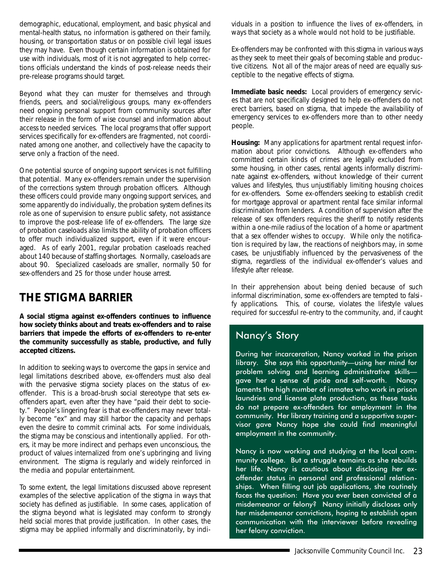<span id="page-45-0"></span>demographic, educational, employment, and basic physical and mental-health status, no information is gathered on their family, housing, or transportation status or on possible civil legal issues they may have. Even though certain information is obtained for use with individuals, most of it is not aggregated to help corrections officials understand the kinds of post-release needs their pre-release programs should target.

Beyond what they can muster for themselves and through friends, peers, and social/religious groups, many ex-offenders need ongoing personal support from community sources after their release in the form of wise counsel and information about access to needed services. The local programs that offer support services specifically for ex-offenders are fragmented, not coordinated among one another, and collectively have the capacity to serve only a fraction of the need.

One potential source of ongoing support services is not fulfilling that potential. Many ex-offenders remain under the supervision of the corrections system through probation officers. Although these officers could provide many ongoing support services, and some apparently do individually, the probation system defines its role as one of supervision to ensure public safety, not assistance to improve the post-release life of ex-offenders. The large size of probation caseloads also limits the ability of probation officers to offer much individualized support, even if it were encouraged. As of early 2001, regular probation caseloads reached about 140 because of staffing shortages. Normally, caseloads are about 90. Specialized caseloads are smaller, normally 50 for sex-offenders and 25 for those under house arrest.

### **THE STIGMA BARRIER**

**A social stigma against ex-offenders continues to influence how society thinks about and treats ex-offenders and to raise barriers that impede the efforts of ex-offenders to re-enter the community successfully as stable, productive, and fully accepted citizens.**

In addition to seeking ways to overcome the gaps in service and legal limitations described above, ex-offenders must also deal with the pervasive stigma society places on the status of exoffender. This is a broad-brush social stereotype that sets exoffenders apart, even after they have "paid their debt to society." People's lingering fear is that ex-offenders may never totally become "ex" and may still harbor the capacity and perhaps even the desire to commit criminal acts. For some individuals, the stigma may be conscious and intentionally applied. For others, it may be more indirect and perhaps even unconscious, the product of values internalized from one's upbringing and living environment. The stigma is regularly and widely reinforced in the media and popular entertainment.

To some extent, the legal limitations discussed above represent examples of the selective application of the stigma in ways that society has defined as justifiable. In some cases, application of the stigma beyond what is legislated may conform to strongly held social mores that provide justification. In other cases, the stigma may be applied informally and discriminatorily, by individuals in a position to influence the lives of ex-offenders, in ways that society as a whole would not hold to be justifiable.

Ex-offenders may be confronted with this stigma in various ways as they seek to meet their goals of becoming stable and productive citizens. Not all of the major areas of need are equally susceptible to the negative effects of stigma.

**Immediate basic needs:** Local providers of emergency services that are not specifically designed to help ex-offenders do not erect barriers, based on stigma, that impede the availability of emergency services to ex-offenders more than to other needy people.

**Housing:** Many applications for apartment rental request information about prior convictions. Although ex-offenders who committed certain kinds of crimes are legally excluded from some housing, in other cases, rental agents informally discriminate against ex-offenders, without knowledge of their current values and lifestyles, thus unjustifiably limiting housing choices for ex-offenders. Some ex-offenders seeking to establish credit for mortgage approval or apartment rental face similar informal discrimination from lenders. A condition of supervision after the release of sex offenders requires the sheriff to notify residents within a one-mile radius of the location of a home or apartment that a sex offender wishes to occupy. While only the notification is required by law, the reactions of neighbors may, in some cases, be unjustifiably influenced by the pervasiveness of the stigma, regardless of the individual ex-offender's values and lifestyle after release.

In their apprehension about being denied because of such informal discrimination, some ex-offenders are tempted to falsify applications. This, of course, violates the lifestyle values required for successful re-entry to the community, and, if caught

### Nancy's Story

During her incarceration, Nancy worked in the prison library. She says this opportunity—using her mind for problem solving and learning administrative skills gave her a sense of pride and self-worth. Nancy laments the high number of inmates who work in prison laundries and license plate production, as these tasks do not prepare ex-offenders for employment in the community. Her library training and a supportive supervisor gave Nancy hope she could find meaningful employment in the community.

Nancy is now working and studying at the local community college. But a struggle remains as she rebuilds her life. Nancy is cautious about disclosing her exoffender status in personal and professional relationships. When filling out job applications, she routinely faces the question: Have you ever been convicted of a misdemeanor or felony? Nancy initially discloses only her misdemeanor convictions, hoping to establish open communication with the interviewer before revealing her felony conviction.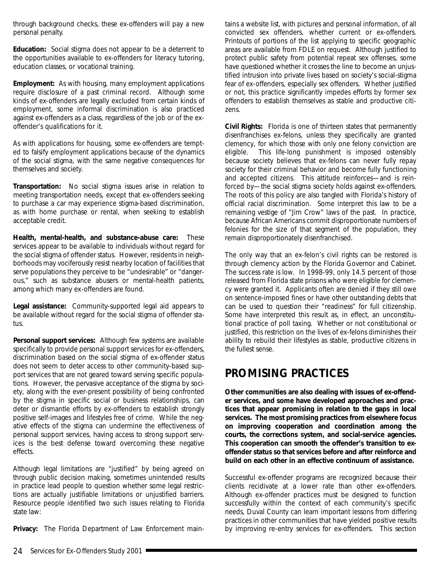<span id="page-46-0"></span>through background checks, these ex-offenders will pay a new personal penalty.

**Education:** Social stigma does not appear to be a deterrent to the opportunities available to ex-offenders for literacy tutoring, education classes, or vocational training.

**Employment:** As with housing, many employment applications require disclosure of a past criminal record. Although some kinds of ex-offenders are legally excluded from certain kinds of employment, some informal discrimination is also practiced against ex-offenders as a class, regardless of the job or of the exoffender's qualifications for it.

As with applications for housing, some ex-offenders are tempted to falsify employment applications because of the dynamics of the social stigma, with the same negative consequences for themselves and society.

**Transportation:** No social stigma issues arise in relation to meeting transportation needs, except that ex-offenders seeking to purchase a car may experience stigma-based discrimination, as with home purchase or rental, when seeking to establish acceptable credit.

**Health, mental-health, and substance-abuse care:** These services appear to be available to individuals without regard for the social stigma of offender status. However, residents in neighborhoods may vociferously resist nearby location of facilities that serve populations they perceive to be "undesirable" or "dangerous," such as substance abusers or mental-health patients, among which many ex-offenders are found.

**Legal assistance:** Community-supported legal aid appears to be available without regard for the social stigma of offender status.

**Personal support services:** Although few systems are available specifically to provide personal support services for ex-offenders, discrimination based on the social stigma of ex-offender status does not seem to deter access to other community-based support services that are not geared toward serving specific populations. However, the pervasive acceptance of the stigma by society, along with the ever-present possibility of being confronted by the stigma in specific social or business relationships, can deter or dismantle efforts by ex-offenders to establish strongly positive self-images and lifestyles free of crime. While the negative effects of the stigma can undermine the effectiveness of personal support services, having access to strong support services is the best defense toward overcoming these negative effects.

Although legal limitations are "justified" by being agreed on through public decision making, sometimes unintended results in practice lead people to question whether some legal restrictions are actually justifiable limitations or unjustified barriers. Resource people identified two such issues relating to Florida state law:

**Privacy:** The Florida Department of Law Enforcement main-

tains a website list, with pictures and personal information, of all convicted sex offenders, whether current or ex-offenders. Printouts of portions of the list applying to specific geographic areas are available from FDLE on request. Although justified to protect public safety from potential repeat sex offenses, some have questioned whether it crosses the line to become an unjustified intrusion into private lives based on society's social-stigma fear of ex-offenders, especially sex offenders. Whether justified or not, this practice significantly impedes efforts by former sex offenders to establish themselves as stable and productive citizens.

**Civil Rights:** Florida is one of thirteen states that permanently disenfranchises ex-felons, unless they specifically are granted clemency, for which those with only one felony conviction are eligible. This life-long punishment is imposed ostensibly because society believes that ex-felons can never fully repay society for their criminal behavior and become fully functioning and accepted citizens. This attitude reinforces—and is reinforced by—the social stigma society holds against ex-offenders. The roots of this policy are also tangled with Florida's history of official racial discrimination. Some interpret this law to be a remaining vestige of "Jim Crow" laws of the past. In practice, because African Americans commit disproportionate numbers of felonies for the size of that segment of the population, they remain disproportionately disenfranchised.

The only way that an ex-felon's civil rights can be restored is through clemency action by the Florida Governor and Cabinet. The success rate is low. In 1998-99, only 14.5 percent of those released from Florida state prisons who were eligible for clemency were granted it. Applicants often are denied if they still owe on sentence-imposed fines or have other outstanding debts that can be used to question their "readiness" for full citizenship. Some have interpreted this result as, in effect, an unconstitutional practice of poll taxing. Whether or not constitutional or justified, this restriction on the lives of ex-felons diminishes their ability to rebuild their lifestyles as stable, productive citizens in the fullest sense.

### **PROMISING PRACTICES**

**Other communities are also dealing with issues of ex-offender services, and some have developed approaches and practices that appear promising in relation to the gaps in local services. The most promising practices from elsewhere focus on improving cooperation and coordination among the courts, the corrections system, and social-service agencies. This cooperation can smooth the offender's transition to exoffender status so that services before and after reinforce and build on each other in an effective continuum of assistance.**

Successful ex-offender programs are recognized because their clients recidivate at a lower rate than other ex-offenders. Although ex-offender practices must be designed to function successfully within the context of each community's specific needs, Duval County can learn important lessons from differing practices in other communities that have yielded positive results by improving re-entry services for ex-offenders. This section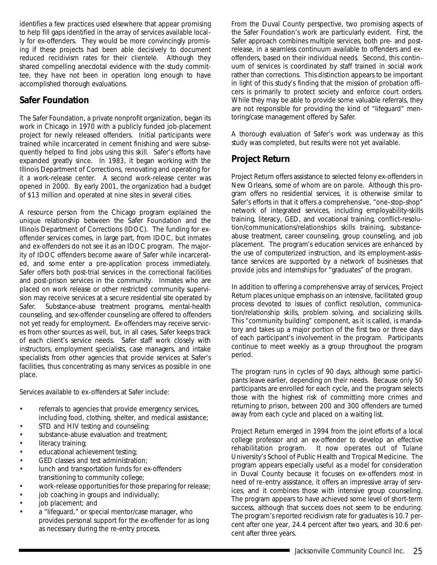<span id="page-47-0"></span>identifies a few practices used elsewhere that appear promising to help fill gaps identified in the array of services available locally for ex-offenders. They would be more convincingly promising if these projects had been able decisively to document reduced recidivism rates for their clientele. Although they shared compelling anecdotal evidence with the study committee, they have not been in operation long enough to have accomplished thorough evaluations.

### **Safer Foundation**

The Safer Foundation, a private nonprofit organization, began its work in Chicago in 1970 with a publicly funded job-placement project for newly released offenders. Initial participants were trained while incarcerated in cement finishing and were subsequently helped to find jobs using this skill. Safer's efforts have expanded greatly since. In 1983, it began working with the Illinois Department of Corrections, renovating and operating for it a work-release center. A second work-release center was opened in 2000. By early 2001, the organization had a budget of \$13 million and operated at nine sites in several cities.

A resource person from the Chicago program explained the unique relationship between the Safer Foundation and the Illinois Department of Corrections (IDOC). The funding for exoffender services comes, in large part, from IDOC, but inmates and ex-offenders do not see it as an IDOC program. The majority of IDOC offenders become aware of Safer while incarcerated, and some enter a pre-application process immediately. Safer offers both post-trial services in the correctional facilities and post-prison services in the community. Inmates who are placed on work release or other restricted community supervision may receive services at a secure residential site operated by Safer. Substance-abuse treatment programs, mental-health counseling, and sex-offender counseling are offered to offenders not yet ready for employment. Ex-offenders may receive services from other sources as well, but, in all cases, Safer keeps track of each client's service needs. Safer staff work closely with instructors, employment specialists, case managers, and intake specialists from other agencies that provide services at Safer's facilities, thus concentrating as many services as possible in one place.

Services available to ex-offenders at Safer include:

- referrals to agencies that provide emergency services, including food, clothing, shelter, and medical assistance;
- STD and HIV testing and counseling;
- substance-abuse evaluation and treatment;
- literacy training;
- educational achievement testing;
- GED classes and test administration;
- lunch and transportation funds for ex-offenders transitioning to community college;
- work-release opportunities for those preparing for release;
- job coaching in groups and individually;
- job placement; and
- a "lifeguard," or special mentor/case manager, who provides personal support for the ex-offender for as long as necessary during the re-entry process.

From the Duval County perspective, two promising aspects of the Safer Foundation's work are particularly evident. First, the Safer approach combines multiple services, both pre- and postrelease, in a seamless continuum available to offenders and exoffenders, based on their individual needs. Second, this continuum of services is coordinated by staff trained in social work rather than corrections. This distinction appears to be important in light of this study's finding that the mission of probation officers is primarily to protect society and enforce court orders. While they may be able to provide some valuable referrals, they are not responsible for providing the kind of "lifeguard" mentoring/case management offered by Safer.

A thorough evaluation of Safer's work was underway as this study was completed, but results were not yet available.

### **Project Return**

Project Return offers assistance to selected felony ex-offenders in New Orleans, some of whom are on parole. Although this program offers no residential services, it is otherwise similar to Safer's efforts in that it offers a comprehensive, "one-stop-shop" network of integrated services, including employability-skills training, literacy, GED, and vocational training, conflict-resolution/communications/relationships skills training, substanceabuse treatment, career counseling, group counseling, and job placement. The program's education services are enhanced by the use of computerized instruction, and its employment-assistance services are supported by a network of businesses that provide jobs and internships for "graduates" of the program.

In addition to offering a comprehensive array of services, Project Return places unique emphasis on an intensive, facilitated group process devoted to issues of conflict resolution, communication/relationship skills, problem solving, and socializing skills. This "community building" component, as it is called, is mandatory and takes up a major portion of the first two or three days of each participant's involvement in the program. Participants continue to meet weekly as a group throughout the program period.

The program runs in cycles of 90 days, although some participants leave earlier, depending on their needs. Because only 50 participants are enrolled for each cycle, and the program selects those with the highest risk of committing more crimes and returning to prison, between 200 and 300 offenders are turned away from each cycle and placed on a waiting list.

Project Return emerged in 1994 from the joint efforts of a local college professor and an ex-offender to develop an effective rehabilitation program. It now operates out of Tulane University's School of Public Health and Tropical Medicine. The program appears especially useful as a model for consideration in Duval County because it focuses on ex-offenders most in need of re-entry assistance, it offers an impressive array of services, and it combines those with intensive group counseling. The program appears to have achieved some level of short-term success, although that success does not seem to be enduring. The program's reported recidivism rate for graduates is 10.7 percent after one year, 24.4 percent after two years, and 30.6 percent after three years.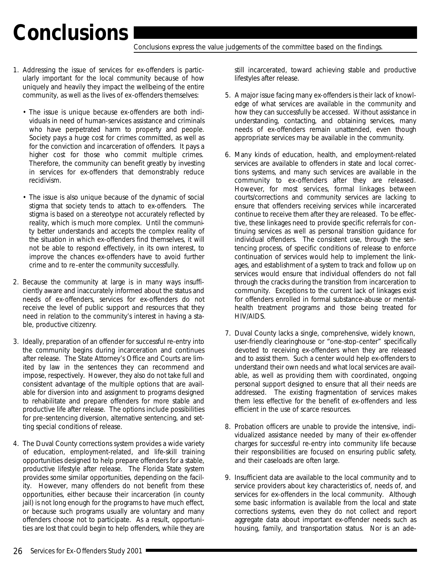### <span id="page-48-0"></span>**Conclusions**

Conclusions express the value judgements of the committee based on the findings.

- 1. Addressing the issue of services for ex-offenders is particularly important for the local community because of how uniquely and heavily they impact the wellbeing of the entire community, as well as the lives of ex-offenders themselves:
	- The issue is unique because ex-offenders are both individuals in need of human-services assistance and criminals who have perpetrated harm to property and people. Society pays a huge cost for crimes committed, as well as for the conviction and incarceration of offenders. It pays a higher cost for those who commit multiple crimes. Therefore, the community can benefit greatly by investing in services for ex-offenders that demonstrably reduce recidivism.
	- The issue is also unique because of the dynamic of social stigma that society tends to attach to ex-offenders. The stigma is based on a stereotype not accurately reflected by reality, which is much more complex. Until the community better understands and accepts the complex reality of the situation in which ex-offenders find themselves, it will not be able to respond effectively, in its own interest, to improve the chances ex-offenders have to avoid further crime and to re-enter the community successfully.
- 2. Because the community at large is in many ways insufficiently aware and inaccurately informed about the status and needs of ex-offenders, services for ex-offenders do not receive the level of public support and resources that they need in relation to the community's interest in having a stable, productive citizenry.
- 3. Ideally, preparation of an offender for successful re-entry into the community begins during incarceration and continues after release. The State Attorney's Office and Courts are limited by law in the sentences they can recommend and impose, respectively. However, they also do not take full and consistent advantage of the multiple options that are available for diversion into and assignment to programs designed to rehabilitate and prepare offenders for more stable and productive life after release. The options include possibilities for pre-sentencing diversion, alternative sentencing, and setting special conditions of release.
- 4. The Duval County corrections system provides a wide variety of education, employment-related, and life-skill training opportunities designed to help prepare offenders for a stable, productive lifestyle after release. The Florida State system provides some similar opportunities, depending on the facility. However, many offenders do not benefit from these opportunities, either because their incarceration (in county jail) is not long enough for the programs to have much effect, or because such programs usually are voluntary and many offenders choose not to participate. As a result, opportunities are lost that could begin to help offenders, while they are

still incarcerated, toward achieving stable and productive lifestyles after release.

- 5. A major issue facing many ex-offenders is their lack of knowledge of what services are available in the community and how they can successfully be accessed. Without assistance in understanding, contacting, and obtaining services, many needs of ex-offenders remain unattended, even though appropriate services may be available in the community.
- 6. Many kinds of education, health, and employment-related services are available to offenders in state and local corrections systems, and many such services are available in the community to ex-offenders after they are released. However, for most services, formal linkages between courts/corrections and community services are lacking to ensure that offenders receiving services while incarcerated continue to receive them after they are released. To be effective, these linkages need to provide specific referrals for continuing services as well as personal transition guidance for individual offenders. The consistent use, through the sentencing process, of specific conditions of release to enforce continuation of services would help to implement the linkages, and establishment of a system to track and follow up on services would ensure that individual offenders do not fall through the cracks during the transition from incarceration to community. Exceptions to the current lack of linkages exist for offenders enrolled in formal substance-abuse or mentalhealth treatment programs and those being treated for HIV/AIDS.
- 7. Duval County lacks a single, comprehensive, widely known, user-friendly clearinghouse or "one-stop-center" specifically devoted to receiving ex-offenders when they are released and to assist them. Such a center would help ex-offenders to understand their own needs and what local services are available, as well as providing them with coordinated, ongoing personal support designed to ensure that all their needs are addressed. The existing fragmentation of services makes them less effective for the benefit of ex-offenders and less efficient in the use of scarce resources.
- 8. Probation officers are unable to provide the intensive, individualized assistance needed by many of their ex-offender charges for successful re-entry into community life because their responsibilities are focused on ensuring public safety, and their caseloads are often large.
- 9. Insufficient data are available to the local community and to service providers about key characteristics of, needs of, and services for ex-offenders in the local community. Although some basic information is available from the local and state corrections systems, even they do not collect and report aggregate data about important ex-offender needs such as housing, family, and transportation status. Nor is an ade-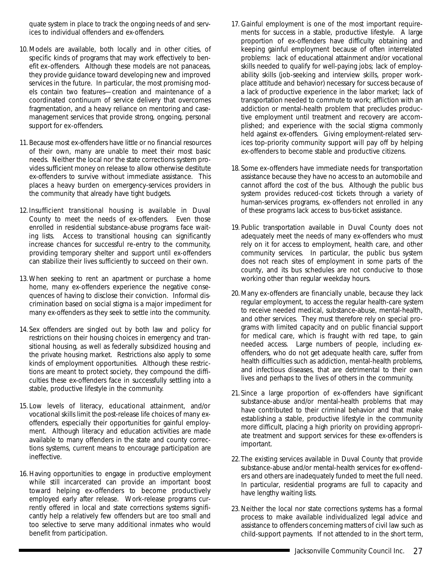quate system in place to track the ongoing needs of and services to individual offenders and ex-offenders.

- 10. Models are available, both locally and in other cities, of specific kinds of programs that may work effectively to benefit ex-offenders. Although these models are not panaceas, they provide guidance toward developing new and improved services in the future. In particular, the most promising models contain two features—creation and maintenance of a coordinated continuum of service delivery that overcomes fragmentation, and a heavy reliance on mentoring and casemanagement services that provide strong, ongoing, personal support for ex-offenders.
- 11. Because most ex-offenders have little or no financial resources of their own, many are unable to meet their most basic needs. Neither the local nor the state corrections system provides sufficient money on release to allow otherwise destitute ex-offenders to survive without immediate assistance. This places a heavy burden on emergency-services providers in the community that already have tight budgets.
- 12. Insufficient transitional housing is available in Duval County to meet the needs of ex-offenders. Even those enrolled in residential substance-abuse programs face waiting lists. Access to transitional housing can significantly increase chances for successful re-entry to the community, providing temporary shelter and support until ex-offenders can stabilize their lives sufficiently to succeed on their own.
- 13. When seeking to rent an apartment or purchase a home home, many ex-offenders experience the negative consequences of having to disclose their conviction. Informal discrimination based on social stigma is a major impediment for many ex-offenders as they seek to settle into the community.
- 14. Sex offenders are singled out by both law and policy for restrictions on their housing choices in emergency and transitional housing, as well as federally subsidized housing and the private housing market. Restrictions also apply to some kinds of employment opportunities. Although these restrictions are meant to protect society, they compound the difficulties these ex-offenders face in successfully settling into a stable, productive lifestyle in the community.
- 15. Low levels of literacy, educational attainment, and/or vocational skills limit the post-release life choices of many exoffenders, especially their opportunities for gainful employment. Although literacy and education activities are made available to many offenders in the state and county corrections systems, current means to encourage participation are ineffective.
- 16. Having opportunities to engage in productive employment while still incarcerated can provide an important boost toward helping ex-offenders to become productively employed early after release. Work-release programs currently offered in local and state corrections systems significantly help a relatively few offenders but are too small and too selective to serve many additional inmates who would benefit from participation.
- 17. Gainful employment is one of the most important requirements for success in a stable, productive lifestyle. A large proportion of ex-offenders have difficulty obtaining and keeping gainful employment because of often interrelated problems: lack of educational attainment and/or vocational skills needed to qualify for well-paying jobs; lack of employability skills (job-seeking and interview skills, proper workplace attitude and behavior) necessary for success because of a lack of productive experience in the labor market; lack of transportation needed to commute to work; affliction with an addiction or mental-health problem that precludes productive employment until treatment and recovery are accomplished; and experience with the social stigma commonly held against ex-offenders. Giving employment-related services top-priority community support will pay off by helping ex-offenders to become stable and productive citizens.
- 18. Some ex-offenders have immediate needs for transportation assistance because they have no access to an automobile and cannot afford the cost of the bus. Although the public bus system provides reduced-cost tickets through a variety of human-services programs, ex-offenders not enrolled in any of these programs lack access to bus-ticket assistance.
- 19. Public transportation available in Duval County does not adequately meet the needs of many ex-offenders who must rely on it for access to employment, health care, and other community services. In particular, the public bus system does not reach sites of employment in some parts of the county, and its bus schedules are not conducive to those working other than regular weekday hours.
- 20. Many ex-offenders are financially unable, because they lack regular employment, to access the regular health-care system to receive needed medical, substance-abuse, mental-health, and other services. They must therefore rely on special programs with limited capacity and on public financial support for medical care, which is fraught with red tape, to gain needed access. Large numbers of people, including exoffenders, who do not get adequate health care, suffer from health difficulties such as addiction, mental-health problems, and infectious diseases, that are detrimental to their own lives and perhaps to the lives of others in the community.
- 21. Since a large proportion of ex-offenders have significant substance-abuse and/or mental-health problems that may have contributed to their criminal behavior and that make establishing a stable, productive lifestyle in the community more difficult, placing a high priority on providing appropriate treatment and support services for these ex-offenders is important.
- 22. The existing services available in Duval County that provide substance-abuse and/or mental-health services for ex-offenders and others are inadequately funded to meet the full need. In particular, residential programs are full to capacity and have lengthy waiting lists.
- 23. Neither the local nor state corrections systems has a formal process to make available individualized legal advice and assistance to offenders concerning matters of civil law such as child-support payments. If not attended to in the short term,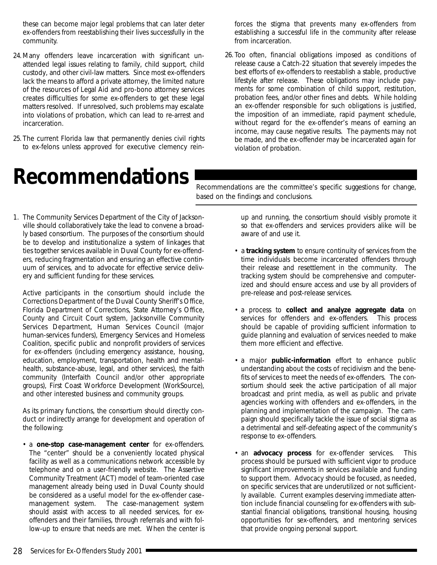<span id="page-50-0"></span>these can become major legal problems that can later deter ex-offenders from reestablishing their lives successfully in the community.

- 24. Many offenders leave incarceration with significant unattended legal issues relating to family, child support, child custody, and other civil-law matters. Since most ex-offenders lack the means to afford a private attorney, the limited nature of the resources of Legal Aid and pro-bono attorney services creates difficulties for some ex-offenders to get these legal matters resolved. If unresolved, such problems may escalate into violations of probation, which can lead to re-arrest and incarceration.
- 25. The current Florida law that permanently denies civil rights to ex-felons unless approved for executive clemency rein-

### **Recommendations**

forces the stigma that prevents many ex-offenders from establishing a successful life in the community after release from incarceration.

26. Too often, financial obligations imposed as conditions of release cause a Catch-22 situation that severely impedes the best efforts of ex-offenders to reestablish a stable, productive lifestyle after release. These obligations may include payments for some combination of child support, restitution, probation fees, and/or other fines and debts. While holding an ex-offender responsible for such obligations is justified, the imposition of an immediate, rapid payment schedule, without regard for the ex-offender's means of earning an income, may cause negative results. The payments may not be made, and the ex-offender may be incarcerated again for violation of probation.

Recommendations are the committee's specific suggestions for change, based on the findings and conclusions.

1. The Community Services Department of the City of Jacksonville should collaboratively take the lead to convene a broadly based consortium. The purposes of the consortium should be to develop and institutionalize a system of linkages that ties together services available in Duval County for ex-offenders, reducing fragmentation and ensuring an effective continuum of services, and to advocate for effective service delivery and sufficient funding for these services.

Active participants in the consortium should include the Corrections Department of the Duval County Sheriff's Office, Florida Department of Corrections, State Attorney's Office, County and Circuit Court system, Jacksonville Community Services Department, Human Services Council (major human-services funders), Emergency Services and Homeless Coalition, specific public and nonprofit providers of services for ex-offenders (including emergency assistance, housing, education, employment, transportation, health and mentalhealth, substance-abuse, legal, and other services), the faith community (Interfaith Council and/or other appropriate groups), First Coast Workforce Development (*WorkSource*), and other interested business and community groups.

As its primary functions, the consortium should directly conduct or indirectly arrange for development and operation of the following:

• a **one-stop case-management center** for ex-offenders. The "center" should be a conveniently located physical facility as well as a communications network accessible by telephone and on a user-friendly website. The Assertive Community Treatment (ACT) model of team-oriented case management already being used in Duval County should be considered as a useful model for the ex-offender casemanagement system. The case-management system should assist with access to all needed services, for exoffenders and their families, through referrals and with follow-up to ensure that needs are met. When the center is

up and running, the consortium should visibly promote it so that ex-offenders and services providers alike will be aware of and use it.

- a **tracking system** to ensure continuity of services from the time individuals become incarcerated offenders through their release and resettlement in the community. The tracking system should be comprehensive and computerized and should ensure access and use by all providers of pre-release and post-release services.
- a process to **collect and analyze aggregate data** on services for offenders and ex-offenders. This process should be capable of providing sufficient information to guide planning and evaluation of services needed to make them more efficient and effective.
- a major **public-information** effort to enhance public understanding about the costs of recidivism and the benefits of services to meet the needs of ex-offenders. The consortium should seek the active participation of all major broadcast and print media, as well as public and private agencies working with offenders and ex-offenders, in the planning and implementation of the campaign. The campaign should specifically tackle the issue of social stigma as a detrimental and self-defeating aspect of the community's response to ex-offenders.
- an **advocacy process** for ex-offender services. This process should be pursued with sufficient vigor to produce significant improvements in services available and funding to support them. Advocacy should be focused, as needed, on specific services that are underutilized or not sufficiently available. Current examples deserving immediate attention include financial counseling for ex-offenders with substantial financial obligations, transitional housing, housing opportunities for sex-offenders, and mentoring services that provide ongoing personal support.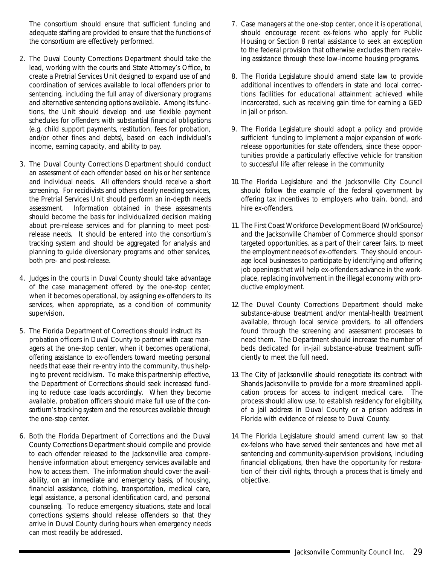The consortium should ensure that sufficient funding and adequate staffing are provided to ensure that the functions of the consortium are effectively performed.

- 2. The Duval County Corrections Department should take the lead, working with the courts and State Attorney's Office, to create a Pretrial Services Unit designed to expand use of and coordination of services available to local offenders prior to sentencing, including the full array of diversionary programs and alternative sentencing options available. Among its functions, the Unit should develop and use flexible payment schedules for offenders with substantial financial obligations (e.g. child support payments, restitution, fees for probation, and/or other fines and debts), based on each individual's income, earning capacity, and ability to pay.
- 3. The Duval County Corrections Department should conduct an assessment of each offender based on his or her sentence and individual needs. All offenders should receive a short screening. For recidivists and others clearly needing services, the Pretrial Services Unit should perform an in-depth needs assessment. Information obtained in these assessments should become the basis for individualized decision making about pre-release services and for planning to meet postrelease needs. It should be entered into the consortium's tracking system and should be aggregated for analysis and planning to guide diversionary programs and other services, both pre- and post-release.
- 4. Judges in the courts in Duval County should take advantage of the case management offered by the one-stop center, when it becomes operational, by assigning ex-offenders to its services, when appropriate, as a condition of community supervision.
- 5. The Florida Department of Corrections should instruct its probation officers in Duval County to partner with case managers at the one-stop center, when it becomes operational, offering assistance to ex-offenders toward meeting personal needs that ease their re-entry into the community, thus helping to prevent recidivism. To make this partnership effective, the Department of Corrections should seek increased funding to reduce case loads accordingly. When they become available, probation officers should make full use of the consortium's tracking system and the resources available through the one-stop center.
- 6. Both the Florida Department of Corrections and the Duval County Corrections Department should compile and provide to each offender released to the Jacksonville area comprehensive information about emergency services available and how to access them. The information should cover the availability, on an immediate and emergency basis, of housing, financial assistance, clothing, transportation, medical care, legal assistance, a personal identification card, and personal counseling. To reduce emergency situations, state and local corrections systems should release offenders so that they arrive in Duval County during hours when emergency needs can most readily be addressed.
- 7. Case managers at the one-stop center, once it is operational, should encourage recent ex-felons who apply for Public Housing or Section 8 rental assistance to seek an exception to the federal provision that otherwise excludes them receiving assistance through these low-income housing programs.
- 8. The Florida Legislature should amend state law to provide additional incentives to offenders in state and local corrections facilities for educational attainment achieved while incarcerated, such as receiving gain time for earning a GED in jail or prison.
- 9. The Florida Legislature should adopt a policy and provide sufficient funding to implement a major expansion of workrelease opportunities for state offenders, since these opportunities provide a particularly effective vehicle for transition to successful life after release in the community.
- 10. The Florida Legislature and the Jacksonville City Council should follow the example of the federal government by offering tax incentives to employers who train, bond, and hire ex-offenders.
- 11. The First Coast Workforce Development Board (WorkSource) and the Jacksonville Chamber of Commerce should sponsor targeted opportunities, as a part of their career fairs, to meet the employment needs of ex-offenders. They should encourage local businesses to participate by identifying and offering job openings that will help ex-offenders advance in the workplace, replacing involvement in the illegal economy with productive employment.
- 12. The Duval County Corrections Department should make substance-abuse treatment and/or mental-health treatment available, through local service providers, to all offenders found through the screening and assessment processes to need them. The Department should increase the number of beds dedicated for in-jail substance-abuse treatment sufficiently to meet the full need.
- 13. The City of Jacksonville should renegotiate its contract with Shands Jacksonville to provide for a more streamlined application process for access to indigent medical care. The process should allow use, to establish residency for eligibility, of a jail address in Duval County or a prison address in Florida with evidence of release to Duval County.
- 14. The Florida Legislature should amend current law so that ex-felons who have served their sentences and have met all sentencing and community-supervision provisions, including financial obligations, then have the opportunity for restoration of their civil rights, through a process that is timely and objective.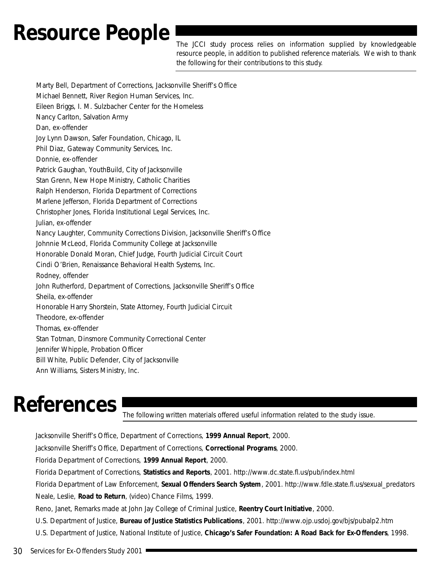### <span id="page-52-0"></span>Resource People The JCCI study process relies on information supplied by knowledgeable

resource people, in addition to published reference materials. We wish to thank the following for their contributions to this study.

Marty Bell, Department of Corrections, Jacksonville Sheriff's Office Michael Bennett, River Region Human Services, Inc. Eileen Briggs, I. M. Sulzbacher Center for the Homeless Nancy Carlton, Salvation Army Dan, ex-offender Joy Lynn Dawson, Safer Foundation, Chicago, IL Phil Diaz, Gateway Community Services, Inc. Donnie, ex-offender Patrick Gaughan, YouthBuild, City of Jacksonville Stan Grenn, New Hope Ministry, Catholic Charities Ralph Henderson, Florida Department of Corrections Marlene Jefferson, Florida Department of Corrections Christopher Jones, Florida Institutional Legal Services, Inc. Julian, ex-offender Nancy Laughter, Community Corrections Division, Jacksonville Sheriff's Office Johnnie McLeod, Florida Community College at Jacksonville Honorable Donald Moran, Chief Judge, Fourth Judicial Circuit Court Cindi O'Brien, Renaissance Behavioral Health Systems, Inc. Rodney, offender John Rutherford, Department of Corrections, Jacksonville Sheriff's Office Sheila, ex-offender Honorable Harry Shorstein, State Attorney, Fourth Judicial Circuit Theodore, ex-offender Thomas, ex-offender Stan Totman, Dinsmore Community Correctional Center Jennifer Whipple, Probation Officer Bill White, Public Defender, City of Jacksonville Ann Williams, Sisters Ministry, Inc.

### **References**

The following written materials offered useful information related to the study issue.

Jacksonville Sheriff's Office, Department of Corrections, *1999 Annual Report*, 2000. Jacksonville Sheriff's Office, Department of Corrections, *Correctional Programs*, 2000. Florida Department of Corrections, *1999 Annual Report*, 2000. Florida Department of Corrections, *Statistics and Reports*, 2001. http://www.dc.state.fl.us/pub/index.html Florida Department of Law Enforcement, *Sexual Offenders Search System*, 2001. http://www.fdle.state.fl.us/sexual\_predators Neale, Leslie, *Road to Return*, (video) Chance Films, 1999. Reno, Janet, Remarks made at John Jay College of Criminal Justice, *Reentry Court Initiative*, 2000. U.S. Department of Justice, *Bureau of Justice Statistics Publications* , 2001. http://www.ojp.usdoj.gov/bjs/pubalp2.htm U.S. Department of Justice, National Institute of Justice, *Chicago's Safer Foundation: A Road Back for Ex-Offenders*, 1998.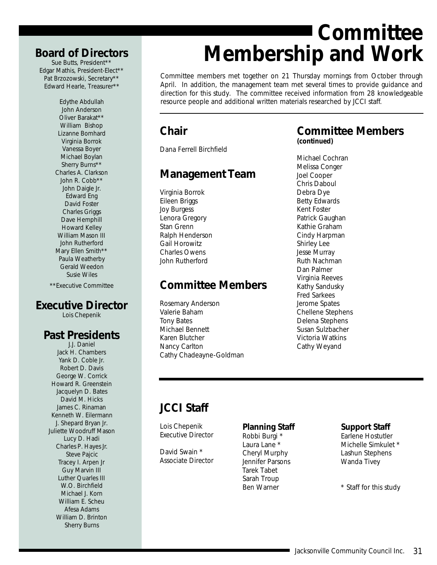### <span id="page-53-0"></span>**Board of Directors**

Sue Butts, President\*\* Edgar Mathis, President-Elect\*\* Pat Brzozowski, Secretary\*\* Edward Hearle, Treasurer\*\*

> Edythe Abdullah John Anderson Oliver Barakat\*\* William Bishop Lizanne Bomhard Virginia Borrok Vanessa Boyer Michael Boylan Sherry Burns\*\* Charles A. Clarkson John R. Cobb\*\* John Daigle Jr. Edward Eng David Foster Charles Griggs Dave Hemphill Howard Kelley William Mason III John Rutherford Mary Ellen Smith\*\* Paula Weatherby Gerald Weedon Susie Wiles

\*\*Executive Committee

### **Executive Director**

Lois Chepenik

### **Past Presidents**

J.J. Daniel Jack H. Chambers Yank D. Coble Jr. Robert D. Davis George W. Corrick Howard R. Greenstein Jacquelyn D. Bates David M. Hicks James C. Rinaman Kenneth W. Eilermann J. Shepard Bryan Jr. Juliette Woodruff Mason Lucy D. Hadi Charles P. Hayes Jr. Steve Pajcic Tracey I. Arpen Jr Guy Marvin III Luther Quarles III W.O. Birchfield Michael J. Korn William E. Scheu Afesa Adams William D. Brinton Sherry Burns

### **Committee Membership and Work**

Committee members met together on 21 Thursday mornings from October through April. In addition, the management team met several times to provide guidance and direction for this study. The committee received information from 28 knowledgeable resource people and additional written materials researched by JCCI staff.

### **Chair**

Dana Ferrell Birchfield

### **Management Team**

Virginia Borrok Eileen Briggs Joy Burgess Lenora Gregory Stan Grenn Ralph Henderson Gail Horowitz Charles Owens John Rutherford

### **Committee Members**

Rosemary Anderson Valerie Baham Tony Bates Michael Bennett Karen Blutcher Nancy Carlton Cathy Chadeayne-Goldman

### **Committee Members**

*(continued)*

Michael Cochran Melissa Conger Joel Cooper Chris Daboul Debra Dye Betty Edwards Kent Foster Patrick Gaughan Kathie Graham Cindy Harpman Shirley Lee Jesse Murray Ruth Nachman Dan Palmer Virginia Reeves Kathy Sandusky Fred Sarkees Jerome Spates Chellene Stephens Delena Stephens Susan Sulzbacher Victoria Watkins Cathy Weyand

### **JCCI Staff**

Lois Chepenik *Executive Director*

David Swain \* *Associate Director*

### **Planning Staff**

Robbi Burgi \* Laura Lane \* Cheryl Murphy Jennifer Parsons Tarek Tabet Sarah Troup Ben Warner

### **Support Staff**

Earlene Hostutler Michelle Simkulet \* Lashun Stephens Wanda Tivey

\* Staff for this study